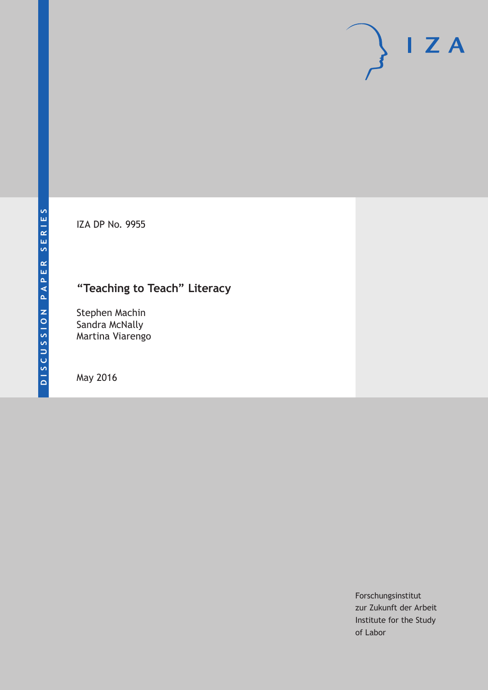IZA DP No. 9955

## **"Teaching to Teach" Literacy**

Stephen Machin Sandra McNally Martina Viarengo

May 2016

Forschungsinstitut zur Zukunft der Arbeit Institute for the Study of Labor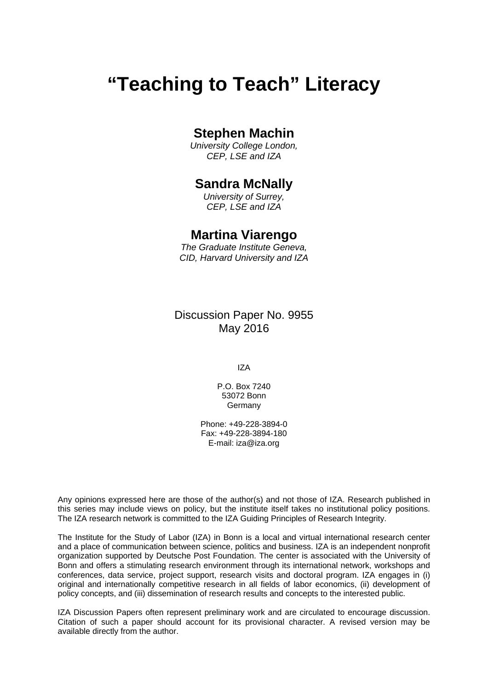# **"Teaching to Teach" Literacy**

### **Stephen Machin**

*University College London, CEP, LSE and IZA* 

## **Sandra McNally**

*University of Surrey, CEP, LSE and IZA* 

### **Martina Viarengo**

*The Graduate Institute Geneva, CID, Harvard University and IZA*

Discussion Paper No. 9955 May 2016

IZA

P.O. Box 7240 53072 Bonn Germany

Phone: +49-228-3894-0 Fax: +49-228-3894-180 E-mail: iza@iza.org

Any opinions expressed here are those of the author(s) and not those of IZA. Research published in this series may include views on policy, but the institute itself takes no institutional policy positions. The IZA research network is committed to the IZA Guiding Principles of Research Integrity.

The Institute for the Study of Labor (IZA) in Bonn is a local and virtual international research center and a place of communication between science, politics and business. IZA is an independent nonprofit organization supported by Deutsche Post Foundation. The center is associated with the University of Bonn and offers a stimulating research environment through its international network, workshops and conferences, data service, project support, research visits and doctoral program. IZA engages in (i) original and internationally competitive research in all fields of labor economics, (ii) development of policy concepts, and (iii) dissemination of research results and concepts to the interested public.

IZA Discussion Papers often represent preliminary work and are circulated to encourage discussion. Citation of such a paper should account for its provisional character. A revised version may be available directly from the author.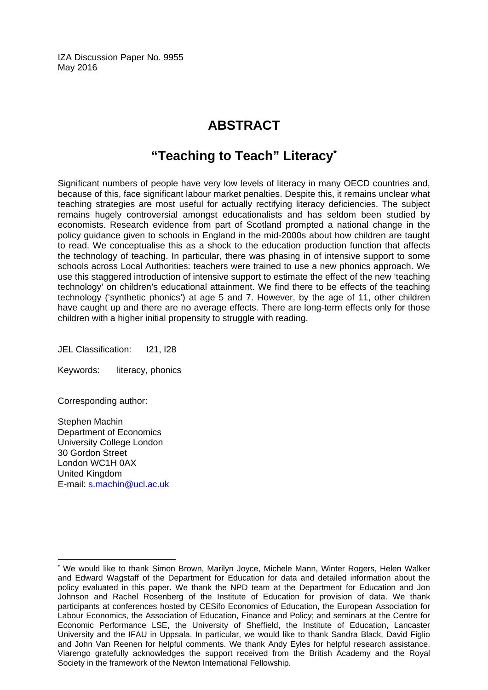IZA Discussion Paper No. 9955 May 2016

## **ABSTRACT**

## **"Teaching to Teach" Literacy\***

Significant numbers of people have very low levels of literacy in many OECD countries and, because of this, face significant labour market penalties. Despite this, it remains unclear what teaching strategies are most useful for actually rectifying literacy deficiencies. The subject remains hugely controversial amongst educationalists and has seldom been studied by economists. Research evidence from part of Scotland prompted a national change in the policy guidance given to schools in England in the mid-2000s about how children are taught to read. We conceptualise this as a shock to the education production function that affects the technology of teaching. In particular, there was phasing in of intensive support to some schools across Local Authorities: teachers were trained to use a new phonics approach. We use this staggered introduction of intensive support to estimate the effect of the new 'teaching technology' on children's educational attainment. We find there to be effects of the teaching technology ('synthetic phonics') at age 5 and 7. However, by the age of 11, other children have caught up and there are no average effects. There are long-term effects only for those children with a higher initial propensity to struggle with reading.

JEL Classification: I21, I28

Keywords: literacy, phonics

Corresponding author:

Stephen Machin Department of Economics University College London 30 Gordon Street London WC1H 0AX United Kingdom E-mail: s.machin@ucl.ac.uk

 $\overline{a}$ \* We would like to thank Simon Brown, Marilyn Joyce, Michele Mann, Winter Rogers, Helen Walker and Edward Wagstaff of the Department for Education for data and detailed information about the policy evaluated in this paper. We thank the NPD team at the Department for Education and Jon Johnson and Rachel Rosenberg of the Institute of Education for provision of data. We thank participants at conferences hosted by CESifo Economics of Education, the European Association for Labour Economics, the Association of Education, Finance and Policy; and seminars at the Centre for Economic Performance LSE, the University of Sheffield, the Institute of Education, Lancaster University and the IFAU in Uppsala. In particular, we would like to thank Sandra Black, David Figlio and John Van Reenen for helpful comments. We thank Andy Eyles for helpful research assistance. Viarengo gratefully acknowledges the support received from the British Academy and the Royal Society in the framework of the Newton International Fellowship.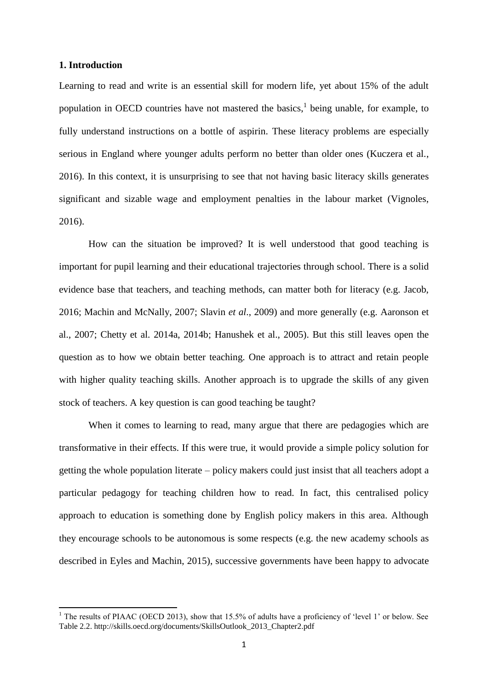#### **1. Introduction**

**.** 

Learning to read and write is an essential skill for modern life, yet about 15% of the adult population in OECD countries have not mastered the basics,<sup>1</sup> being unable, for example, to fully understand instructions on a bottle of aspirin. These literacy problems are especially serious in England where younger adults perform no better than older ones (Kuczera et al., 2016). In this context, it is unsurprising to see that not having basic literacy skills generates significant and sizable wage and employment penalties in the labour market (Vignoles, 2016).

How can the situation be improved? It is well understood that good teaching is important for pupil learning and their educational trajectories through school. There is a solid evidence base that teachers, and teaching methods, can matter both for literacy (e.g. Jacob, 2016; Machin and McNally, 2007; Slavin *et al*., 2009) and more generally (e.g. Aaronson et al., 2007; Chetty et al. 2014a, 2014b; Hanushek et al., 2005). But this still leaves open the question as to how we obtain better teaching. One approach is to attract and retain people with higher quality teaching skills. Another approach is to upgrade the skills of any given stock of teachers. A key question is can good teaching be taught?

When it comes to learning to read, many argue that there are pedagogies which are transformative in their effects. If this were true, it would provide a simple policy solution for getting the whole population literate – policy makers could just insist that all teachers adopt a particular pedagogy for teaching children how to read. In fact, this centralised policy approach to education is something done by English policy makers in this area. Although they encourage schools to be autonomous is some respects (e.g. the new academy schools as described in Eyles and Machin, 2015), successive governments have been happy to advocate

<sup>&</sup>lt;sup>1</sup> The results of PIAAC (OECD 2013), show that 15.5% of adults have a proficiency of 'level 1' or below. See Table 2.2. http://skills.oecd.org/documents/SkillsOutlook\_2013\_Chapter2.pdf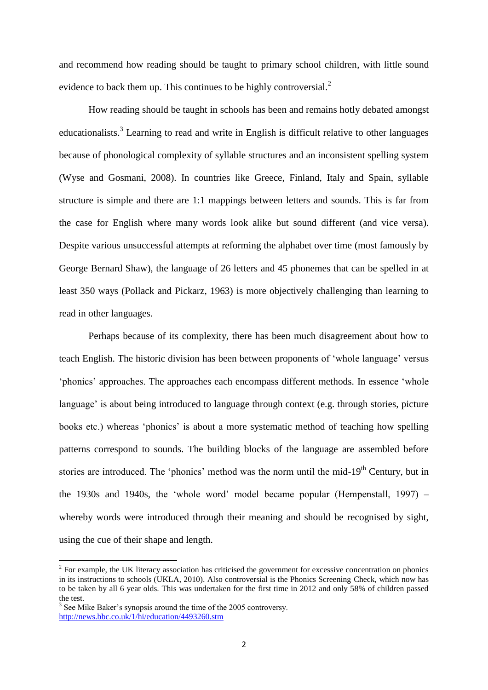and recommend how reading should be taught to primary school children, with little sound evidence to back them up. This continues to be highly controversial.<sup>2</sup>

How reading should be taught in schools has been and remains hotly debated amongst educationalists.<sup>3</sup> Learning to read and write in English is difficult relative to other languages because of phonological complexity of syllable structures and an inconsistent spelling system (Wyse and Gosmani, 2008). In countries like Greece, Finland, Italy and Spain, syllable structure is simple and there are 1:1 mappings between letters and sounds. This is far from the case for English where many words look alike but sound different (and vice versa). Despite various unsuccessful attempts at reforming the alphabet over time (most famously by George Bernard Shaw), the language of 26 letters and 45 phonemes that can be spelled in at least 350 ways (Pollack and Pickarz, 1963) is more objectively challenging than learning to read in other languages.

Perhaps because of its complexity, there has been much disagreement about how to teach English. The historic division has been between proponents of 'whole language' versus 'phonics' approaches. The approaches each encompass different methods. In essence 'whole language' is about being introduced to language through context (e.g. through stories, picture books etc.) whereas 'phonics' is about a more systematic method of teaching how spelling patterns correspond to sounds. The building blocks of the language are assembled before stories are introduced. The 'phonics' method was the norm until the mid-19<sup>th</sup> Century, but in the 1930s and 1940s, the 'whole word' model became popular (Hempenstall, 1997) – whereby words were introduced through their meaning and should be recognised by sight, using the cue of their shape and length.

**.** 

 $2^2$  For example, the UK literacy association has criticised the government for excessive concentration on phonics in its instructions to schools (UKLA, 2010). Also controversial is the Phonics Screening Check, which now has to be taken by all 6 year olds. This was undertaken for the first time in 2012 and only 58% of children passed the test.

<sup>&</sup>lt;sup>3</sup> See Mike Baker's synopsis around the time of the 2005 controversy. <http://news.bbc.co.uk/1/hi/education/4493260.stm>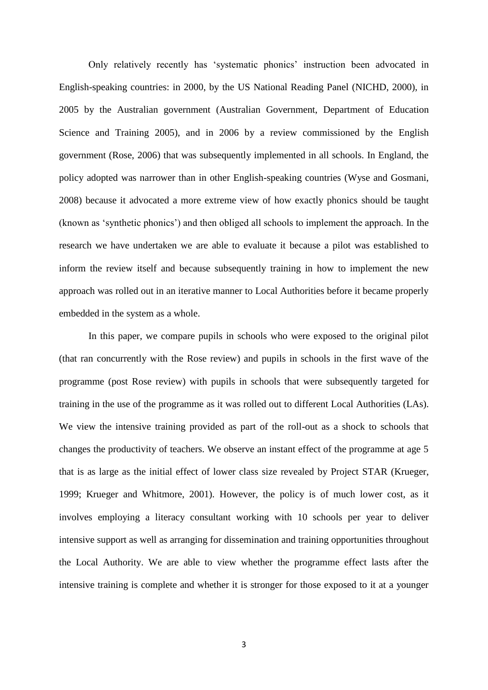Only relatively recently has 'systematic phonics' instruction been advocated in English-speaking countries: in 2000, by the US National Reading Panel (NICHD, 2000), in 2005 by the Australian government (Australian Government, Department of Education Science and Training 2005), and in 2006 by a review commissioned by the English government (Rose, 2006) that was subsequently implemented in all schools. In England, the policy adopted was narrower than in other English-speaking countries (Wyse and Gosmani, 2008) because it advocated a more extreme view of how exactly phonics should be taught (known as 'synthetic phonics') and then obliged all schools to implement the approach. In the research we have undertaken we are able to evaluate it because a pilot was established to inform the review itself and because subsequently training in how to implement the new approach was rolled out in an iterative manner to Local Authorities before it became properly embedded in the system as a whole.

In this paper, we compare pupils in schools who were exposed to the original pilot (that ran concurrently with the Rose review) and pupils in schools in the first wave of the programme (post Rose review) with pupils in schools that were subsequently targeted for training in the use of the programme as it was rolled out to different Local Authorities (LAs). We view the intensive training provided as part of the roll-out as a shock to schools that changes the productivity of teachers. We observe an instant effect of the programme at age 5 that is as large as the initial effect of lower class size revealed by Project STAR (Krueger, 1999; Krueger and Whitmore, 2001). However, the policy is of much lower cost, as it involves employing a literacy consultant working with 10 schools per year to deliver intensive support as well as arranging for dissemination and training opportunities throughout the Local Authority. We are able to view whether the programme effect lasts after the intensive training is complete and whether it is stronger for those exposed to it at a younger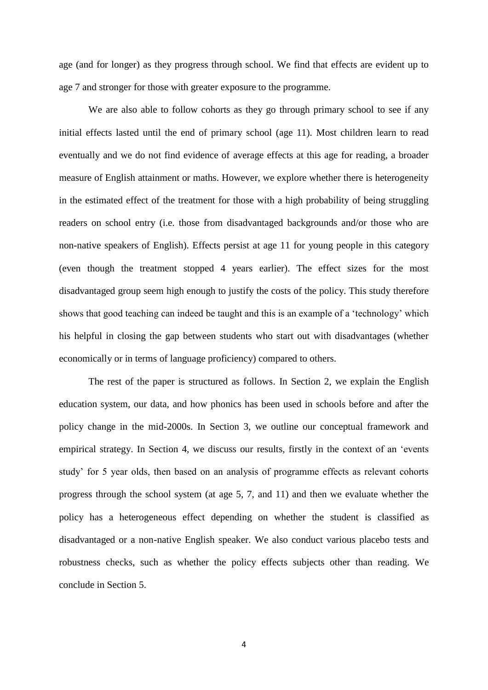age (and for longer) as they progress through school. We find that effects are evident up to age 7 and stronger for those with greater exposure to the programme.

We are also able to follow cohorts as they go through primary school to see if any initial effects lasted until the end of primary school (age 11). Most children learn to read eventually and we do not find evidence of average effects at this age for reading, a broader measure of English attainment or maths. However, we explore whether there is heterogeneity in the estimated effect of the treatment for those with a high probability of being struggling readers on school entry (i.e. those from disadvantaged backgrounds and/or those who are non-native speakers of English). Effects persist at age 11 for young people in this category (even though the treatment stopped 4 years earlier). The effect sizes for the most disadvantaged group seem high enough to justify the costs of the policy. This study therefore shows that good teaching can indeed be taught and this is an example of a 'technology' which his helpful in closing the gap between students who start out with disadvantages (whether economically or in terms of language proficiency) compared to others.

The rest of the paper is structured as follows. In Section 2, we explain the English education system, our data, and how phonics has been used in schools before and after the policy change in the mid-2000s. In Section 3, we outline our conceptual framework and empirical strategy. In Section 4, we discuss our results, firstly in the context of an 'events study' for 5 year olds, then based on an analysis of programme effects as relevant cohorts progress through the school system (at age 5, 7, and 11) and then we evaluate whether the policy has a heterogeneous effect depending on whether the student is classified as disadvantaged or a non-native English speaker. We also conduct various placebo tests and robustness checks, such as whether the policy effects subjects other than reading. We conclude in Section 5.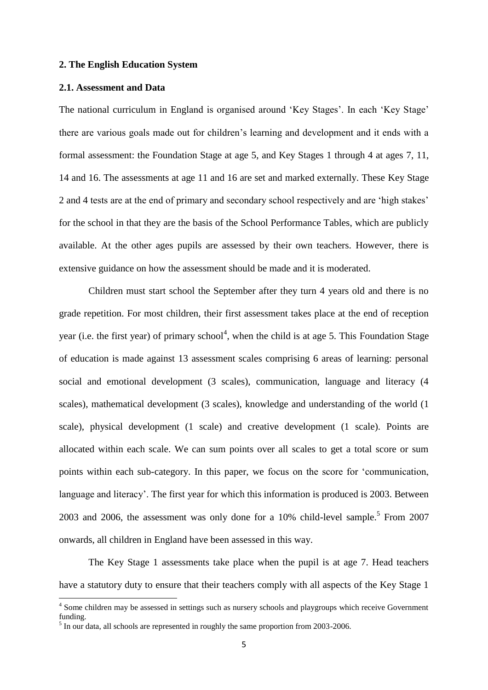#### **2. The English Education System**

#### **2.1. Assessment and Data**

The national curriculum in England is organised around 'Key Stages'. In each 'Key Stage' there are various goals made out for children's learning and development and it ends with a formal assessment: the Foundation Stage at age 5, and Key Stages 1 through 4 at ages 7, 11, 14 and 16. The assessments at age 11 and 16 are set and marked externally. These Key Stage 2 and 4 tests are at the end of primary and secondary school respectively and are 'high stakes' for the school in that they are the basis of the School Performance Tables, which are publicly available. At the other ages pupils are assessed by their own teachers. However, there is extensive guidance on how the assessment should be made and it is moderated.

Children must start school the September after they turn 4 years old and there is no grade repetition. For most children, their first assessment takes place at the end of reception year (i.e. the first year) of primary school<sup>4</sup>, when the child is at age 5. This Foundation Stage of education is made against 13 assessment scales comprising 6 areas of learning: personal social and emotional development (3 scales), communication, language and literacy (4 scales), mathematical development (3 scales), knowledge and understanding of the world (1 scale), physical development (1 scale) and creative development (1 scale). Points are allocated within each scale. We can sum points over all scales to get a total score or sum points within each sub-category. In this paper, we focus on the score for 'communication, language and literacy'. The first year for which this information is produced is 2003. Between 2003 and 2006, the assessment was only done for a  $10\%$  child-level sample.<sup>5</sup> From 2007 onwards, all children in England have been assessed in this way.

The Key Stage 1 assessments take place when the pupil is at age 7. Head teachers have a statutory duty to ensure that their teachers comply with all aspects of the Key Stage 1

<sup>4&</sup>lt;br><sup>4</sup> Some children may be assessed in settings such as nursery schools and playgroups which receive Government funding.

<sup>&</sup>lt;sup>5</sup> In our data, all schools are represented in roughly the same proportion from 2003-2006.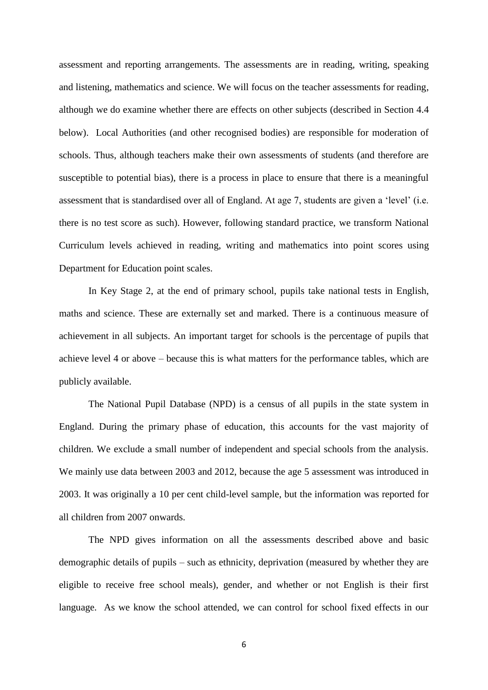assessment and reporting arrangements. The assessments are in reading, writing, speaking and listening, mathematics and science. We will focus on the teacher assessments for reading, although we do examine whether there are effects on other subjects (described in Section 4.4 below). Local Authorities (and other recognised bodies) are responsible for moderation of schools. Thus, although teachers make their own assessments of students (and therefore are susceptible to potential bias), there is a process in place to ensure that there is a meaningful assessment that is standardised over all of England. At age 7, students are given a 'level' (i.e. there is no test score as such). However, following standard practice, we transform National Curriculum levels achieved in reading, writing and mathematics into point scores using Department for Education point scales.

In Key Stage 2, at the end of primary school, pupils take national tests in English, maths and science. These are externally set and marked. There is a continuous measure of achievement in all subjects. An important target for schools is the percentage of pupils that achieve level 4 or above – because this is what matters for the performance tables, which are publicly available.

The National Pupil Database (NPD) is a census of all pupils in the state system in England. During the primary phase of education, this accounts for the vast majority of children. We exclude a small number of independent and special schools from the analysis. We mainly use data between 2003 and 2012, because the age 5 assessment was introduced in 2003. It was originally a 10 per cent child-level sample, but the information was reported for all children from 2007 onwards.

The NPD gives information on all the assessments described above and basic demographic details of pupils – such as ethnicity, deprivation (measured by whether they are eligible to receive free school meals), gender, and whether or not English is their first language. As we know the school attended, we can control for school fixed effects in our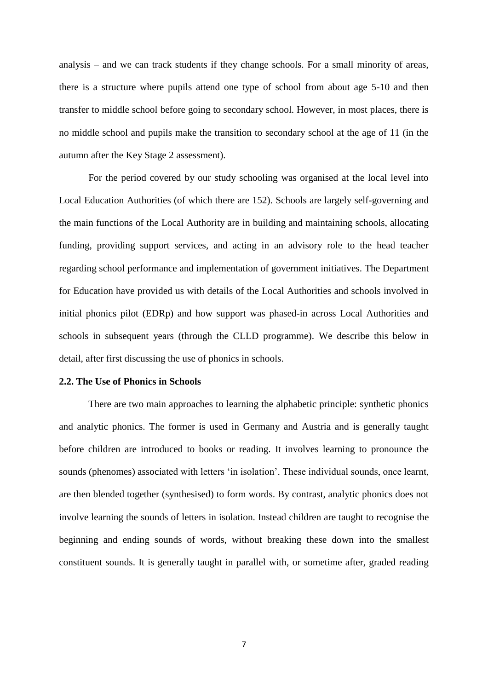analysis – and we can track students if they change schools. For a small minority of areas, there is a structure where pupils attend one type of school from about age 5-10 and then transfer to middle school before going to secondary school. However, in most places, there is no middle school and pupils make the transition to secondary school at the age of 11 (in the autumn after the Key Stage 2 assessment).

For the period covered by our study schooling was organised at the local level into Local Education Authorities (of which there are 152). Schools are largely self-governing and the main functions of the Local Authority are in building and maintaining schools, allocating funding, providing support services, and acting in an advisory role to the head teacher regarding school performance and implementation of government initiatives. The Department for Education have provided us with details of the Local Authorities and schools involved in initial phonics pilot (EDRp) and how support was phased-in across Local Authorities and schools in subsequent years (through the CLLD programme). We describe this below in detail, after first discussing the use of phonics in schools.

#### **2.2. The Use of Phonics in Schools**

There are two main approaches to learning the alphabetic principle: synthetic phonics and analytic phonics. The former is used in Germany and Austria and is generally taught before children are introduced to books or reading. It involves learning to pronounce the sounds (phenomes) associated with letters 'in isolation'. These individual sounds, once learnt, are then blended together (synthesised) to form words. By contrast, analytic phonics does not involve learning the sounds of letters in isolation. Instead children are taught to recognise the beginning and ending sounds of words, without breaking these down into the smallest constituent sounds. It is generally taught in parallel with, or sometime after, graded reading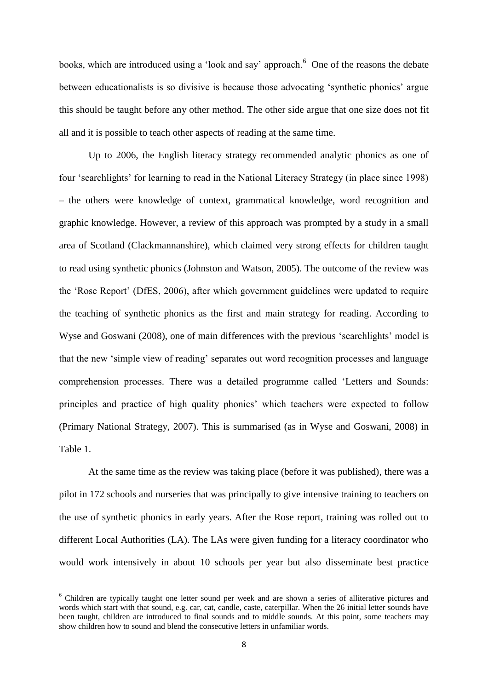books, which are introduced using a 'look and say' approach.<sup>6</sup> One of the reasons the debate between educationalists is so divisive is because those advocating 'synthetic phonics' argue this should be taught before any other method. The other side argue that one size does not fit all and it is possible to teach other aspects of reading at the same time.

Up to 2006, the English literacy strategy recommended analytic phonics as one of four 'searchlights' for learning to read in the National Literacy Strategy (in place since 1998) – the others were knowledge of context, grammatical knowledge, word recognition and graphic knowledge. However, a review of this approach was prompted by a study in a small area of Scotland (Clackmannanshire), which claimed very strong effects for children taught to read using synthetic phonics (Johnston and Watson, 2005). The outcome of the review was the 'Rose Report' (DfES, 2006), after which government guidelines were updated to require the teaching of synthetic phonics as the first and main strategy for reading. According to Wyse and Goswani (2008), one of main differences with the previous 'searchlights' model is that the new 'simple view of reading' separates out word recognition processes and language comprehension processes. There was a detailed programme called 'Letters and Sounds: principles and practice of high quality phonics' which teachers were expected to follow (Primary National Strategy, 2007). This is summarised (as in Wyse and Goswani, 2008) in Table 1.

At the same time as the review was taking place (before it was published), there was a pilot in 172 schools and nurseries that was principally to give intensive training to teachers on the use of synthetic phonics in early years. After the Rose report, training was rolled out to different Local Authorities (LA). The LAs were given funding for a literacy coordinator who would work intensively in about 10 schools per year but also disseminate best practice

**.** 

<sup>6</sup> Children are typically taught one letter sound per week and are shown a series of alliterative pictures and words which start with that sound, e.g. car, cat, candle, caste, caterpillar. When the 26 initial letter sounds have been taught, children are introduced to final sounds and to middle sounds. At this point, some teachers may show children how to sound and blend the consecutive letters in unfamiliar words.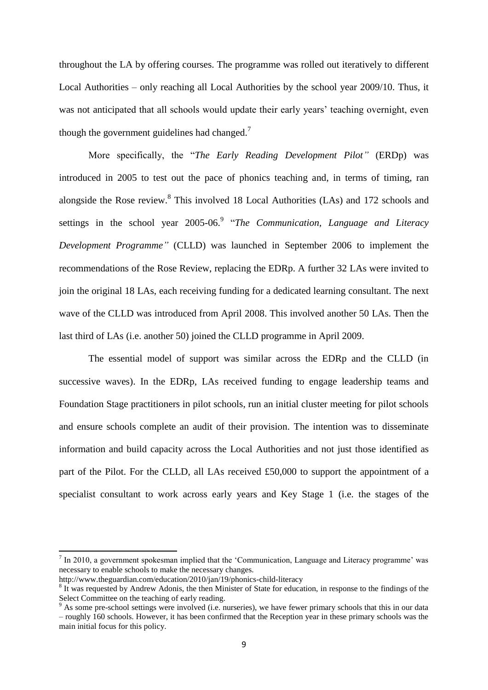throughout the LA by offering courses. The programme was rolled out iteratively to different Local Authorities – only reaching all Local Authorities by the school year 2009/10. Thus, it was not anticipated that all schools would update their early years' teaching overnight, even though the government guidelines had changed.<sup>7</sup>

More specifically, the "*The Early Reading Development Pilot"* (ERDp) was introduced in 2005 to test out the pace of phonics teaching and, in terms of timing, ran alongside the Rose review.<sup>8</sup> This involved 18 Local Authorities (LAs) and 172 schools and settings in the school year 2005-06.<sup>9</sup> "The Communication, Language and Literacy *Development Programme"* (CLLD) was launched in September 2006 to implement the recommendations of the Rose Review, replacing the EDRp. A further 32 LAs were invited to join the original 18 LAs, each receiving funding for a dedicated learning consultant. The next wave of the CLLD was introduced from April 2008. This involved another 50 LAs. Then the last third of LAs (i.e. another 50) joined the CLLD programme in April 2009.

The essential model of support was similar across the EDRp and the CLLD (in successive waves). In the EDRp, LAs received funding to engage leadership teams and Foundation Stage practitioners in pilot schools, run an initial cluster meeting for pilot schools and ensure schools complete an audit of their provision. The intention was to disseminate information and build capacity across the Local Authorities and not just those identified as part of the Pilot. For the CLLD, all LAs received £50,000 to support the appointment of a specialist consultant to work across early years and Key Stage 1 (i.e. the stages of the

**.** 

 $<sup>7</sup>$  In 2010, a government spokesman implied that the 'Communication, Language and Literacy programme' was</sup> necessary to enable schools to make the necessary changes.

http://www.theguardian.com/education/2010/jan/19/phonics-child-literacy

<sup>&</sup>lt;sup>8</sup> It was requested by Andrew Adonis, the then Minister of State for education, in response to the findings of the Select Committee on the teaching of early reading.

As some pre-school settings were involved (i.e. nurseries), we have fewer primary schools that this in our data – roughly 160 schools. However, it has been confirmed that the Reception year in these primary schools was the main initial focus for this policy.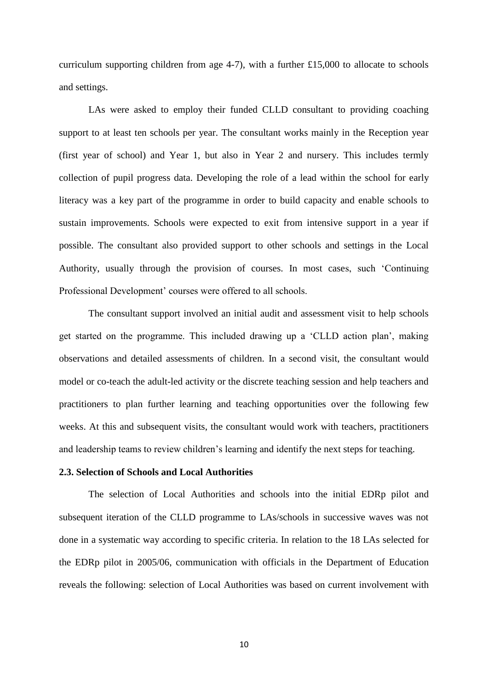curriculum supporting children from age 4-7), with a further £15,000 to allocate to schools and settings.

LAs were asked to employ their funded CLLD consultant to providing coaching support to at least ten schools per year. The consultant works mainly in the Reception year (first year of school) and Year 1, but also in Year 2 and nursery. This includes termly collection of pupil progress data. Developing the role of a lead within the school for early literacy was a key part of the programme in order to build capacity and enable schools to sustain improvements. Schools were expected to exit from intensive support in a year if possible. The consultant also provided support to other schools and settings in the Local Authority, usually through the provision of courses. In most cases, such 'Continuing Professional Development' courses were offered to all schools.

The consultant support involved an initial audit and assessment visit to help schools get started on the programme. This included drawing up a 'CLLD action plan', making observations and detailed assessments of children. In a second visit, the consultant would model or co-teach the adult-led activity or the discrete teaching session and help teachers and practitioners to plan further learning and teaching opportunities over the following few weeks. At this and subsequent visits, the consultant would work with teachers, practitioners and leadership teams to review children's learning and identify the next steps for teaching.

#### **2.3. Selection of Schools and Local Authorities**

The selection of Local Authorities and schools into the initial EDRp pilot and subsequent iteration of the CLLD programme to LAs/schools in successive waves was not done in a systematic way according to specific criteria. In relation to the 18 LAs selected for the EDRp pilot in 2005/06, communication with officials in the Department of Education reveals the following: selection of Local Authorities was based on current involvement with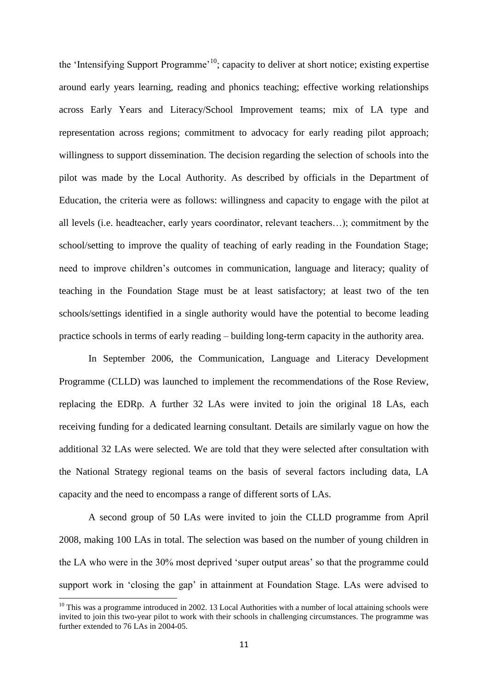the 'Intensifying Support Programme'<sup>10</sup>; capacity to deliver at short notice; existing expertise around early years learning, reading and phonics teaching; effective working relationships across Early Years and Literacy/School Improvement teams; mix of LA type and representation across regions; commitment to advocacy for early reading pilot approach; willingness to support dissemination. The decision regarding the selection of schools into the pilot was made by the Local Authority. As described by officials in the Department of Education, the criteria were as follows: willingness and capacity to engage with the pilot at all levels (i.e. headteacher, early years coordinator, relevant teachers…); commitment by the school/setting to improve the quality of teaching of early reading in the Foundation Stage; need to improve children's outcomes in communication, language and literacy; quality of teaching in the Foundation Stage must be at least satisfactory; at least two of the ten schools/settings identified in a single authority would have the potential to become leading practice schools in terms of early reading – building long-term capacity in the authority area.

In September 2006, the Communication, Language and Literacy Development Programme (CLLD) was launched to implement the recommendations of the Rose Review, replacing the EDRp. A further 32 LAs were invited to join the original 18 LAs, each receiving funding for a dedicated learning consultant. Details are similarly vague on how the additional 32 LAs were selected. We are told that they were selected after consultation with the National Strategy regional teams on the basis of several factors including data, LA capacity and the need to encompass a range of different sorts of LAs.

A second group of 50 LAs were invited to join the CLLD programme from April 2008, making 100 LAs in total. The selection was based on the number of young children in the LA who were in the 30% most deprived 'super output areas' so that the programme could support work in 'closing the gap' in attainment at Foundation Stage. LAs were advised to

1

<sup>&</sup>lt;sup>10</sup> This was a programme introduced in 2002. 13 Local Authorities with a number of local attaining schools were invited to join this two-year pilot to work with their schools in challenging circumstances. The programme was further extended to 76 LAs in 2004-05.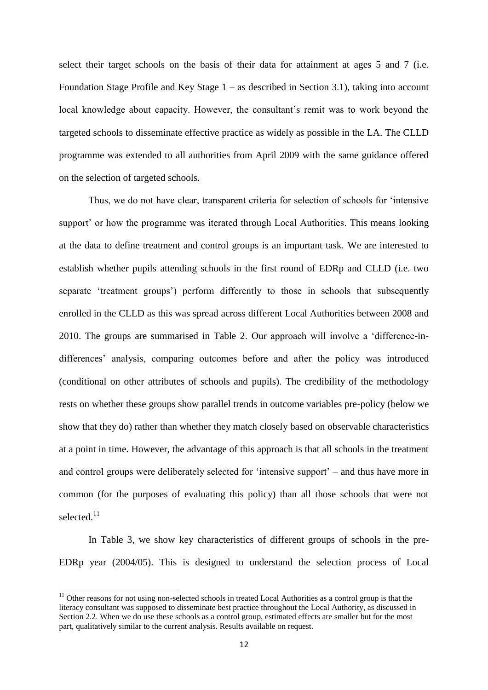select their target schools on the basis of their data for attainment at ages 5 and 7 (i.e. Foundation Stage Profile and Key Stage  $1 -$  as described in Section 3.1), taking into account local knowledge about capacity. However, the consultant's remit was to work beyond the targeted schools to disseminate effective practice as widely as possible in the LA. The CLLD programme was extended to all authorities from April 2009 with the same guidance offered on the selection of targeted schools.

Thus, we do not have clear, transparent criteria for selection of schools for 'intensive support' or how the programme was iterated through Local Authorities. This means looking at the data to define treatment and control groups is an important task. We are interested to establish whether pupils attending schools in the first round of EDRp and CLLD (i.e. two separate 'treatment groups') perform differently to those in schools that subsequently enrolled in the CLLD as this was spread across different Local Authorities between 2008 and 2010. The groups are summarised in Table 2. Our approach will involve a 'difference-indifferences' analysis, comparing outcomes before and after the policy was introduced (conditional on other attributes of schools and pupils). The credibility of the methodology rests on whether these groups show parallel trends in outcome variables pre-policy (below we show that they do) rather than whether they match closely based on observable characteristics at a point in time. However, the advantage of this approach is that all schools in the treatment and control groups were deliberately selected for 'intensive support' – and thus have more in common (for the purposes of evaluating this policy) than all those schools that were not selected.<sup>11</sup>

In Table 3, we show key characteristics of different groups of schools in the pre-EDRp year (2004/05). This is designed to understand the selection process of Local

**.** 

 $11$  Other reasons for not using non-selected schools in treated Local Authorities as a control group is that the literacy consultant was supposed to disseminate best practice throughout the Local Authority, as discussed in Section 2.2. When we do use these schools as a control group, estimated effects are smaller but for the most part, qualitatively similar to the current analysis. Results available on request.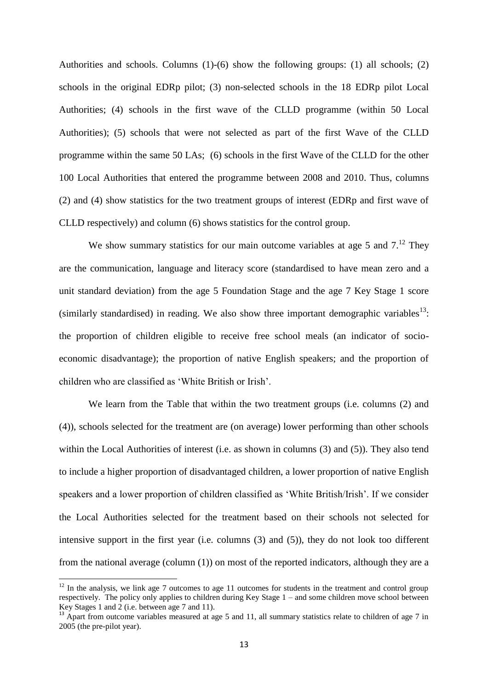Authorities and schools. Columns (1)-(6) show the following groups: (1) all schools; (2) schools in the original EDRp pilot; (3) non-selected schools in the 18 EDRp pilot Local Authorities; (4) schools in the first wave of the CLLD programme (within 50 Local Authorities); (5) schools that were not selected as part of the first Wave of the CLLD programme within the same 50 LAs; (6) schools in the first Wave of the CLLD for the other 100 Local Authorities that entered the programme between 2008 and 2010. Thus, columns (2) and (4) show statistics for the two treatment groups of interest (EDRp and first wave of CLLD respectively) and column (6) shows statistics for the control group.

We show summary statistics for our main outcome variables at age 5 and  $7<sup>12</sup>$  They are the communication, language and literacy score (standardised to have mean zero and a unit standard deviation) from the age 5 Foundation Stage and the age 7 Key Stage 1 score (similarly standardised) in reading. We also show three important demographic variables<sup>13</sup>: the proportion of children eligible to receive free school meals (an indicator of socioeconomic disadvantage); the proportion of native English speakers; and the proportion of children who are classified as 'White British or Irish'.

We learn from the Table that within the two treatment groups (i.e. columns (2) and (4)), schools selected for the treatment are (on average) lower performing than other schools within the Local Authorities of interest (i.e. as shown in columns (3) and (5)). They also tend to include a higher proportion of disadvantaged children, a lower proportion of native English speakers and a lower proportion of children classified as 'White British/Irish'. If we consider the Local Authorities selected for the treatment based on their schools not selected for intensive support in the first year (i.e. columns (3) and (5)), they do not look too different from the national average (column (1)) on most of the reported indicators, although they are a

1

 $12$  In the analysis, we link age 7 outcomes to age 11 outcomes for students in the treatment and control group respectively. The policy only applies to children during Key Stage 1 – and some children move school between Key Stages 1 and 2 (i.e. between age 7 and 11).

<sup>&</sup>lt;sup>13</sup> Apart from outcome variables measured at age 5 and 11, all summary statistics relate to children of age 7 in 2005 (the pre-pilot year).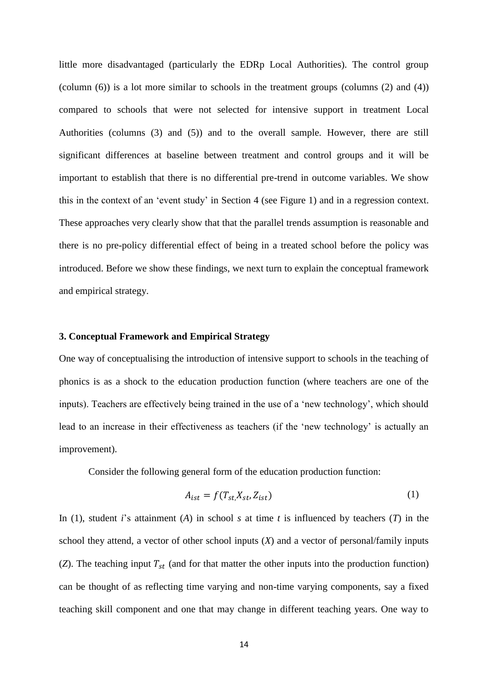little more disadvantaged (particularly the EDRp Local Authorities). The control group (column  $(6)$ ) is a lot more similar to schools in the treatment groups (columns  $(2)$  and  $(4)$ ) compared to schools that were not selected for intensive support in treatment Local Authorities (columns (3) and (5)) and to the overall sample. However, there are still significant differences at baseline between treatment and control groups and it will be important to establish that there is no differential pre-trend in outcome variables. We show this in the context of an 'event study' in Section 4 (see Figure 1) and in a regression context. These approaches very clearly show that that the parallel trends assumption is reasonable and there is no pre-policy differential effect of being in a treated school before the policy was introduced. Before we show these findings, we next turn to explain the conceptual framework and empirical strategy.

#### **3. Conceptual Framework and Empirical Strategy**

One way of conceptualising the introduction of intensive support to schools in the teaching of phonics is as a shock to the education production function (where teachers are one of the inputs). Teachers are effectively being trained in the use of a 'new technology', which should lead to an increase in their effectiveness as teachers (if the 'new technology' is actually an improvement).

Consider the following general form of the education production function:

$$
A_{ist} = f(T_{st,}X_{st}, Z_{ist})
$$
 (1)

In (1), student *i*'s attainment (*A*) in school *s* at time *t* is influenced by teachers (*T*) in the school they attend, a vector of other school inputs (*X*) and a vector of personal/family inputs (*Z*). The teaching input  $T_{st}$  (and for that matter the other inputs into the production function) can be thought of as reflecting time varying and non-time varying components, say a fixed teaching skill component and one that may change in different teaching years. One way to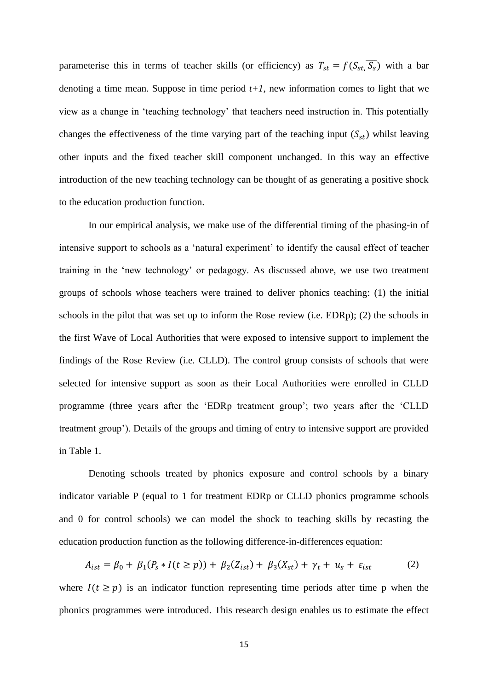parameterise this in terms of teacher skills (or efficiency) as  $T_{st} = f(S_{st}, \overline{S_s})$  with a bar denoting a time mean. Suppose in time period  $t+1$ , new information comes to light that we view as a change in 'teaching technology' that teachers need instruction in. This potentially changes the effectiveness of the time varying part of the teaching input  $(S_{st})$  whilst leaving other inputs and the fixed teacher skill component unchanged. In this way an effective introduction of the new teaching technology can be thought of as generating a positive shock to the education production function.

In our empirical analysis, we make use of the differential timing of the phasing-in of intensive support to schools as a 'natural experiment' to identify the causal effect of teacher training in the 'new technology' or pedagogy. As discussed above, we use two treatment groups of schools whose teachers were trained to deliver phonics teaching: (1) the initial schools in the pilot that was set up to inform the Rose review (i.e. EDRp); (2) the schools in the first Wave of Local Authorities that were exposed to intensive support to implement the findings of the Rose Review (i.e. CLLD). The control group consists of schools that were selected for intensive support as soon as their Local Authorities were enrolled in CLLD programme (three years after the 'EDRp treatment group'; two years after the 'CLLD treatment group'). Details of the groups and timing of entry to intensive support are provided in Table 1.

Denoting schools treated by phonics exposure and control schools by a binary indicator variable P (equal to 1 for treatment EDRp or CLLD phonics programme schools and 0 for control schools) we can model the shock to teaching skills by recasting the education production function as the following difference-in-differences equation:

$$
A_{ist} = \beta_0 + \beta_1 (P_s * I(t \ge p)) + \beta_2 (Z_{ist}) + \beta_3 (X_{st}) + \gamma_t + u_s + \varepsilon_{ist}
$$
 (2)

where  $I(t \geq p)$  is an indicator function representing time periods after time p when the phonics programmes were introduced. This research design enables us to estimate the effect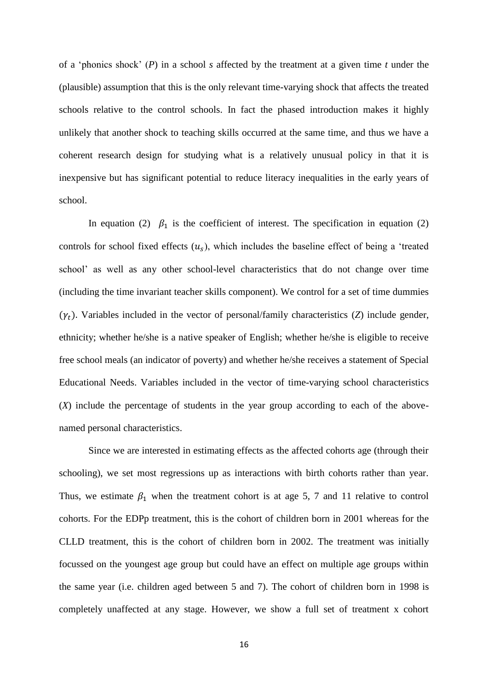of a 'phonics shock' (*P*) in a school *s* affected by the treatment at a given time *t* under the (plausible) assumption that this is the only relevant time-varying shock that affects the treated schools relative to the control schools. In fact the phased introduction makes it highly unlikely that another shock to teaching skills occurred at the same time, and thus we have a coherent research design for studying what is a relatively unusual policy in that it is inexpensive but has significant potential to reduce literacy inequalities in the early years of school.

In equation (2)  $\beta_1$  is the coefficient of interest. The specification in equation (2) controls for school fixed effects  $(u_s)$ , which includes the baseline effect of being a 'treated school' as well as any other school-level characteristics that do not change over time (including the time invariant teacher skills component). We control for a set of time dummies  $(\gamma_t)$ . Variables included in the vector of personal/family characteristics (*Z*) include gender, ethnicity; whether he/she is a native speaker of English; whether he/she is eligible to receive free school meals (an indicator of poverty) and whether he/she receives a statement of Special Educational Needs. Variables included in the vector of time-varying school characteristics (*X*) include the percentage of students in the year group according to each of the abovenamed personal characteristics.

Since we are interested in estimating effects as the affected cohorts age (through their schooling), we set most regressions up as interactions with birth cohorts rather than year. Thus, we estimate  $\beta_1$  when the treatment cohort is at age 5, 7 and 11 relative to control cohorts. For the EDPp treatment, this is the cohort of children born in 2001 whereas for the CLLD treatment, this is the cohort of children born in 2002. The treatment was initially focussed on the youngest age group but could have an effect on multiple age groups within the same year (i.e. children aged between 5 and 7). The cohort of children born in 1998 is completely unaffected at any stage. However, we show a full set of treatment x cohort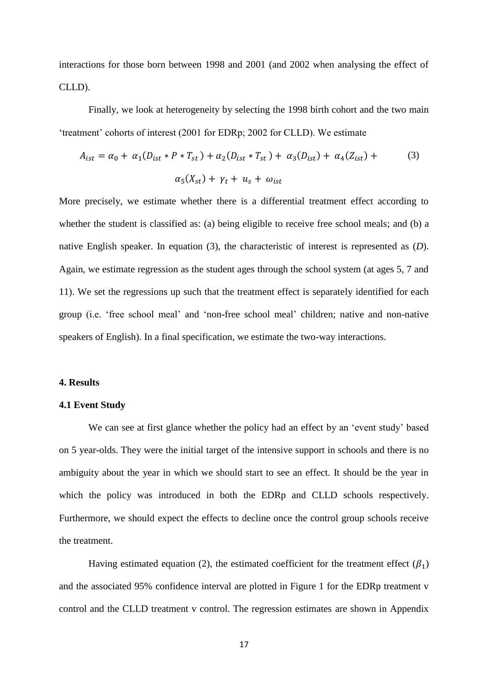interactions for those born between 1998 and 2001 (and 2002 when analysing the effect of CLLD).

Finally, we look at heterogeneity by selecting the 1998 birth cohort and the two main 'treatment' cohorts of interest (2001 for EDRp; 2002 for CLLD). We estimate

$$
A_{ist} = \alpha_0 + \alpha_1 (D_{ist} * P * T_{st}) + \alpha_2 (D_{ist} * T_{st}) + \alpha_3 (D_{ist}) + \alpha_4 (Z_{ist}) +
$$
  

$$
\alpha_5 (X_{st}) + \gamma_t + u_s + \omega_{ist}
$$
 (3)

More precisely, we estimate whether there is a differential treatment effect according to whether the student is classified as: (a) being eligible to receive free school meals; and (b) a native English speaker. In equation (3), the characteristic of interest is represented as (*D*). Again, we estimate regression as the student ages through the school system (at ages 5, 7 and 11). We set the regressions up such that the treatment effect is separately identified for each group (i.e. 'free school meal' and 'non-free school meal' children; native and non-native speakers of English). In a final specification, we estimate the two-way interactions.

#### **4. Results**

#### **4.1 Event Study**

We can see at first glance whether the policy had an effect by an 'event study' based on 5 year-olds. They were the initial target of the intensive support in schools and there is no ambiguity about the year in which we should start to see an effect. It should be the year in which the policy was introduced in both the EDRp and CLLD schools respectively. Furthermore, we should expect the effects to decline once the control group schools receive the treatment.

Having estimated equation (2), the estimated coefficient for the treatment effect ( $\beta_1$ ) and the associated 95% confidence interval are plotted in Figure 1 for the EDRp treatment v control and the CLLD treatment v control. The regression estimates are shown in Appendix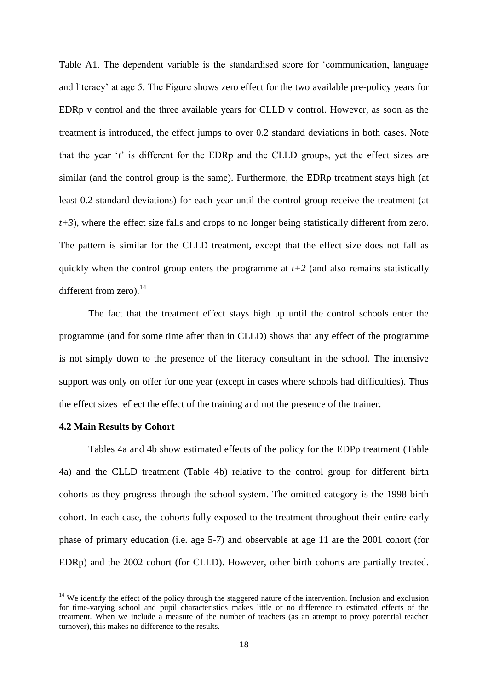Table A1. The dependent variable is the standardised score for 'communication, language and literacy' at age 5. The Figure shows zero effect for the two available pre-policy years for EDRp v control and the three available years for CLLD v control. However, as soon as the treatment is introduced, the effect jumps to over 0.2 standard deviations in both cases. Note that the year '*t*' is different for the EDRp and the CLLD groups, yet the effect sizes are similar (and the control group is the same). Furthermore, the EDRp treatment stays high (at least 0.2 standard deviations) for each year until the control group receive the treatment (at *t+3*), where the effect size falls and drops to no longer being statistically different from zero. The pattern is similar for the CLLD treatment, except that the effect size does not fall as quickly when the control group enters the programme at  $t+2$  (and also remains statistically different from zero). $^{14}$ 

The fact that the treatment effect stays high up until the control schools enter the programme (and for some time after than in CLLD) shows that any effect of the programme is not simply down to the presence of the literacy consultant in the school. The intensive support was only on offer for one year (except in cases where schools had difficulties). Thus the effect sizes reflect the effect of the training and not the presence of the trainer.

#### **4.2 Main Results by Cohort**

**.** 

Tables 4a and 4b show estimated effects of the policy for the EDPp treatment (Table 4a) and the CLLD treatment (Table 4b) relative to the control group for different birth cohorts as they progress through the school system. The omitted category is the 1998 birth cohort. In each case, the cohorts fully exposed to the treatment throughout their entire early phase of primary education (i.e. age 5-7) and observable at age 11 are the 2001 cohort (for EDRp) and the 2002 cohort (for CLLD). However, other birth cohorts are partially treated.

 $14$  We identify the effect of the policy through the staggered nature of the intervention. Inclusion and exclusion for time-varying school and pupil characteristics makes little or no difference to estimated effects of the treatment. When we include a measure of the number of teachers (as an attempt to proxy potential teacher turnover), this makes no difference to the results.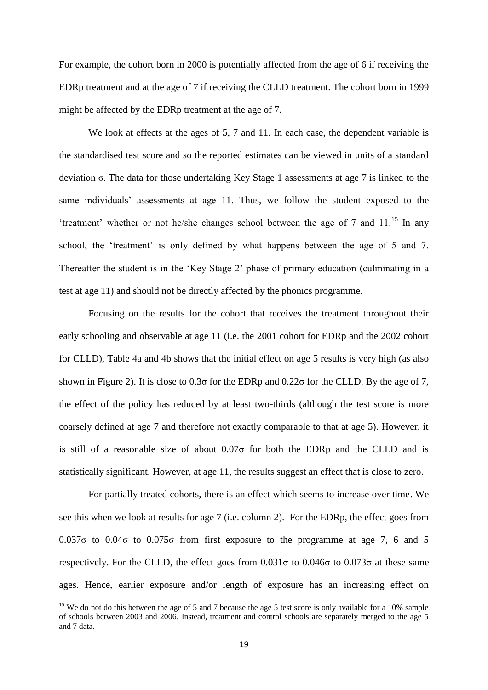For example, the cohort born in 2000 is potentially affected from the age of 6 if receiving the EDRp treatment and at the age of 7 if receiving the CLLD treatment. The cohort born in 1999 might be affected by the EDRp treatment at the age of 7.

We look at effects at the ages of 5, 7 and 11. In each case, the dependent variable is the standardised test score and so the reported estimates can be viewed in units of a standard deviation σ. The data for those undertaking Key Stage 1 assessments at age 7 is linked to the same individuals' assessments at age 11. Thus, we follow the student exposed to the 'treatment' whether or not he/she changes school between the age of  $7$  and  $11$ <sup>15</sup>. In any school, the 'treatment' is only defined by what happens between the age of 5 and 7. Thereafter the student is in the 'Key Stage 2' phase of primary education (culminating in a test at age 11) and should not be directly affected by the phonics programme.

Focusing on the results for the cohort that receives the treatment throughout their early schooling and observable at age 11 (i.e. the 2001 cohort for EDRp and the 2002 cohort for CLLD), Table 4a and 4b shows that the initial effect on age 5 results is very high (as also shown in Figure 2). It is close to  $0.3\sigma$  for the EDRp and  $0.22\sigma$  for the CLLD. By the age of 7, the effect of the policy has reduced by at least two-thirds (although the test score is more coarsely defined at age 7 and therefore not exactly comparable to that at age 5). However, it is still of a reasonable size of about  $0.07\sigma$  for both the EDRp and the CLLD and is statistically significant. However, at age 11, the results suggest an effect that is close to zero.

For partially treated cohorts, there is an effect which seems to increase over time. We see this when we look at results for age 7 (i.e. column 2). For the EDRp, the effect goes from 0.037 $\sigma$  to 0.04 $\sigma$  to 0.075 $\sigma$  from first exposure to the programme at age 7, 6 and 5 respectively. For the CLLD, the effect goes from  $0.031\sigma$  to  $0.046\sigma$  to  $0.073\sigma$  at these same ages. Hence, earlier exposure and/or length of exposure has an increasing effect on

1

<sup>&</sup>lt;sup>15</sup> We do not do this between the age of 5 and 7 because the age 5 test score is only available for a 10% sample of schools between 2003 and 2006. Instead, treatment and control schools are separately merged to the age 5 and 7 data.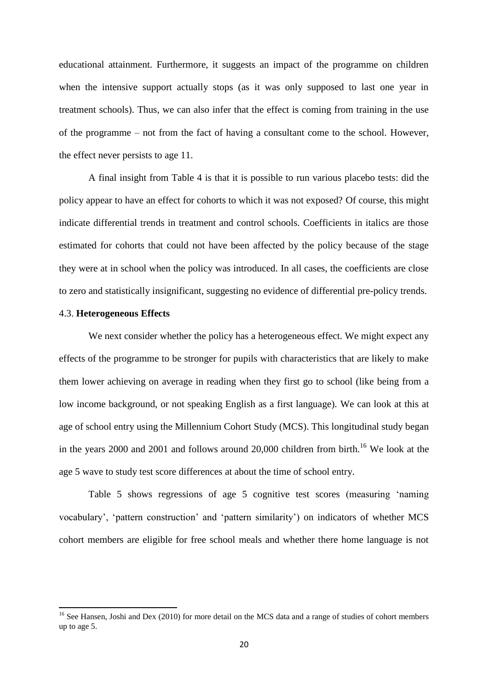educational attainment. Furthermore, it suggests an impact of the programme on children when the intensive support actually stops (as it was only supposed to last one year in treatment schools). Thus, we can also infer that the effect is coming from training in the use of the programme – not from the fact of having a consultant come to the school. However, the effect never persists to age 11.

A final insight from Table 4 is that it is possible to run various placebo tests: did the policy appear to have an effect for cohorts to which it was not exposed? Of course, this might indicate differential trends in treatment and control schools. Coefficients in italics are those estimated for cohorts that could not have been affected by the policy because of the stage they were at in school when the policy was introduced. In all cases, the coefficients are close to zero and statistically insignificant, suggesting no evidence of differential pre-policy trends.

#### 4.3. **Heterogeneous Effects**

**.** 

We next consider whether the policy has a heterogeneous effect. We might expect any effects of the programme to be stronger for pupils with characteristics that are likely to make them lower achieving on average in reading when they first go to school (like being from a low income background, or not speaking English as a first language). We can look at this at age of school entry using the Millennium Cohort Study (MCS). This longitudinal study began in the years 2000 and 2001 and follows around 20,000 children from birth.<sup>16</sup> We look at the age 5 wave to study test score differences at about the time of school entry.

Table 5 shows regressions of age 5 cognitive test scores (measuring 'naming vocabulary', 'pattern construction' and 'pattern similarity') on indicators of whether MCS cohort members are eligible for free school meals and whether there home language is not

<sup>&</sup>lt;sup>16</sup> See Hansen, Joshi and Dex (2010) for more detail on the MCS data and a range of studies of cohort members up to age 5.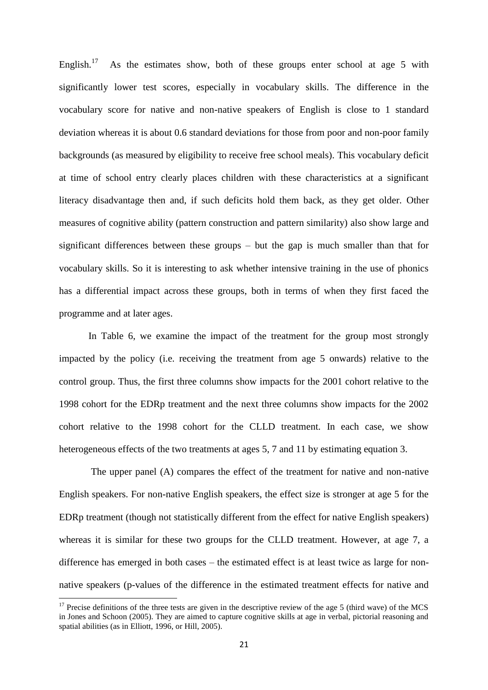English.<sup>17</sup> As the estimates show, both of these groups enter school at age 5 with significantly lower test scores, especially in vocabulary skills. The difference in the vocabulary score for native and non-native speakers of English is close to 1 standard deviation whereas it is about 0.6 standard deviations for those from poor and non-poor family backgrounds (as measured by eligibility to receive free school meals). This vocabulary deficit at time of school entry clearly places children with these characteristics at a significant literacy disadvantage then and, if such deficits hold them back, as they get older. Other measures of cognitive ability (pattern construction and pattern similarity) also show large and significant differences between these groups – but the gap is much smaller than that for vocabulary skills. So it is interesting to ask whether intensive training in the use of phonics has a differential impact across these groups, both in terms of when they first faced the programme and at later ages.

In Table 6, we examine the impact of the treatment for the group most strongly impacted by the policy (i.e. receiving the treatment from age 5 onwards) relative to the control group. Thus, the first three columns show impacts for the 2001 cohort relative to the 1998 cohort for the EDRp treatment and the next three columns show impacts for the 2002 cohort relative to the 1998 cohort for the CLLD treatment. In each case, we show heterogeneous effects of the two treatments at ages 5, 7 and 11 by estimating equation 3.

The upper panel (A) compares the effect of the treatment for native and non-native English speakers. For non-native English speakers, the effect size is stronger at age 5 for the EDRp treatment (though not statistically different from the effect for native English speakers) whereas it is similar for these two groups for the CLLD treatment. However, at age 7, a difference has emerged in both cases – the estimated effect is at least twice as large for nonnative speakers (p-values of the difference in the estimated treatment effects for native and

1

 $17$  Precise definitions of the three tests are given in the descriptive review of the age 5 (third wave) of the MCS in Jones and Schoon (2005). They are aimed to capture cognitive skills at age in verbal, pictorial reasoning and spatial abilities (as in Elliott, 1996, or Hill, 2005).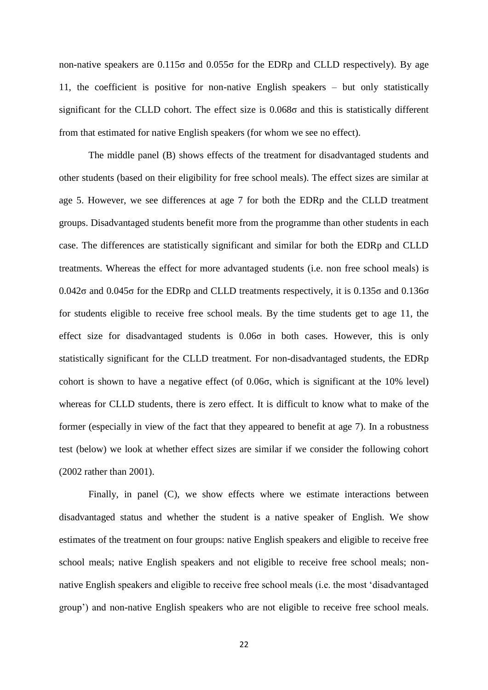non-native speakers are  $0.115\sigma$  and  $0.055\sigma$  for the EDRp and CLLD respectively). By age 11, the coefficient is positive for non-native English speakers – but only statistically significant for the CLLD cohort. The effect size is 0.068σ and this is statistically different from that estimated for native English speakers (for whom we see no effect).

The middle panel (B) shows effects of the treatment for disadvantaged students and other students (based on their eligibility for free school meals). The effect sizes are similar at age 5. However, we see differences at age 7 for both the EDRp and the CLLD treatment groups. Disadvantaged students benefit more from the programme than other students in each case. The differences are statistically significant and similar for both the EDRp and CLLD treatments. Whereas the effect for more advantaged students (i.e. non free school meals) is  $0.042\sigma$  and  $0.045\sigma$  for the EDRp and CLLD treatments respectively, it is  $0.135\sigma$  and  $0.136\sigma$ for students eligible to receive free school meals. By the time students get to age 11, the effect size for disadvantaged students is  $0.06\sigma$  in both cases. However, this is only statistically significant for the CLLD treatment. For non-disadvantaged students, the EDRp cohort is shown to have a negative effect (of  $0.06\sigma$ , which is significant at the 10% level) whereas for CLLD students, there is zero effect. It is difficult to know what to make of the former (especially in view of the fact that they appeared to benefit at age 7). In a robustness test (below) we look at whether effect sizes are similar if we consider the following cohort (2002 rather than 2001).

Finally, in panel (C), we show effects where we estimate interactions between disadvantaged status and whether the student is a native speaker of English. We show estimates of the treatment on four groups: native English speakers and eligible to receive free school meals; native English speakers and not eligible to receive free school meals; nonnative English speakers and eligible to receive free school meals (i.e. the most 'disadvantaged group') and non-native English speakers who are not eligible to receive free school meals.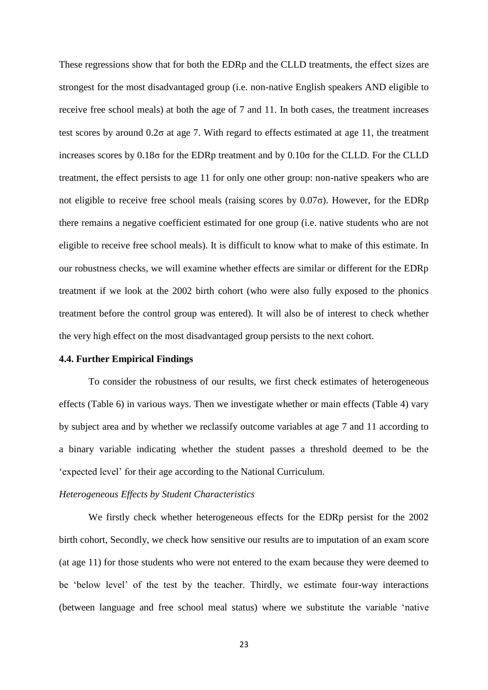These regressions show that for both the EDRp and the CLLD treatments, the effect sizes are strongest for the most disadvantaged group (i.e. non-native English speakers AND eligible to receive free school meals) at both the age of 7 and 11. In both cases, the treatment increases test scores by around  $0.2\sigma$  at age 7. With regard to effects estimated at age 11, the treatment increases scores by 0.18σ for the EDRp treatment and by 0.10σ for the CLLD. For the CLLD treatment, the effect persists to age 11 for only one other group: non-native speakers who are not eligible to receive free school meals (raising scores by 0.07σ). However, for the EDRp there remains a negative coefficient estimated for one group (i.e. native students who are not eligible to receive free school meals). It is difficult to know what to make of this estimate. In our robustness checks, we will examine whether effects are similar or different for the EDRp treatment if we look at the 2002 birth cohort (who were also fully exposed to the phonics treatment before the control group was entered). It will also be of interest to check whether the very high effect on the most disadvantaged group persists to the next cohort.

#### **4.4. Further Empirical Findings**

To consider the robustness of our results, we first check estimates of heterogeneous effects (Table 6) in various ways. Then we investigate whether or main effects (Table 4) vary by subject area and by whether we reclassify outcome variables at age 7 and 11 according to a binary variable indicating whether the student passes a threshold deemed to be the 'expected level' for their age according to the National Curriculum.

#### *Heterogeneous Effects by Student Characteristics*

We firstly check whether heterogeneous effects for the EDRp persist for the 2002 birth cohort, Secondly, we check how sensitive our results are to imputation of an exam score (at age 11) for those students who were not entered to the exam because they were deemed to be 'below level' of the test by the teacher. Thirdly, we estimate four-way interactions (between language and free school meal status) where we substitute the variable 'native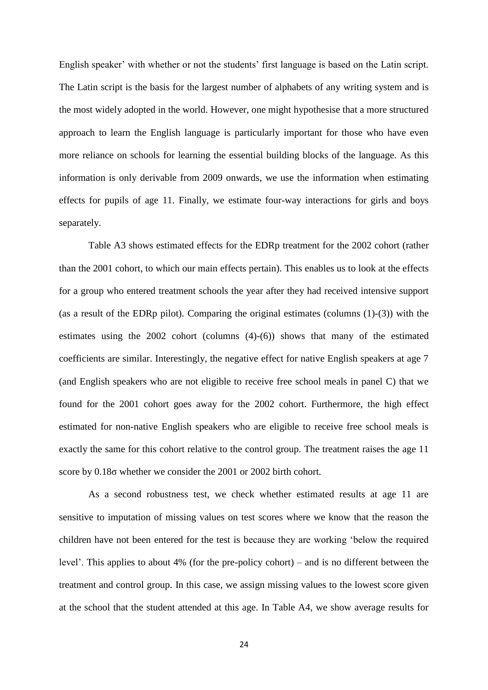English speaker' with whether or not the students' first language is based on the Latin script. The Latin script is the basis for the largest number of alphabets of any writing system and is the most widely adopted in the world. However, one might hypothesise that a more structured approach to learn the English language is particularly important for those who have even more reliance on schools for learning the essential building blocks of the language. As this information is only derivable from 2009 onwards, we use the information when estimating effects for pupils of age 11. Finally, we estimate four-way interactions for girls and boys separately.

Table A3 shows estimated effects for the EDRp treatment for the 2002 cohort (rather than the 2001 cohort, to which our main effects pertain). This enables us to look at the effects for a group who entered treatment schools the year after they had received intensive support (as a result of the EDRp pilot). Comparing the original estimates (columns (1)-(3)) with the estimates using the 2002 cohort (columns (4)-(6)) shows that many of the estimated coefficients are similar. Interestingly, the negative effect for native English speakers at age 7 (and English speakers who are not eligible to receive free school meals in panel C) that we found for the 2001 cohort goes away for the 2002 cohort. Furthermore, the high effect estimated for non-native English speakers who are eligible to receive free school meals is exactly the same for this cohort relative to the control group. The treatment raises the age 11 score by 0.18σ whether we consider the 2001 or 2002 birth cohort.

As a second robustness test, we check whether estimated results at age 11 are sensitive to imputation of missing values on test scores where we know that the reason the children have not been entered for the test is because they are working 'below the required level'. This applies to about 4% (for the pre-policy cohort) – and is no different between the treatment and control group. In this case, we assign missing values to the lowest score given at the school that the student attended at this age. In Table A4, we show average results for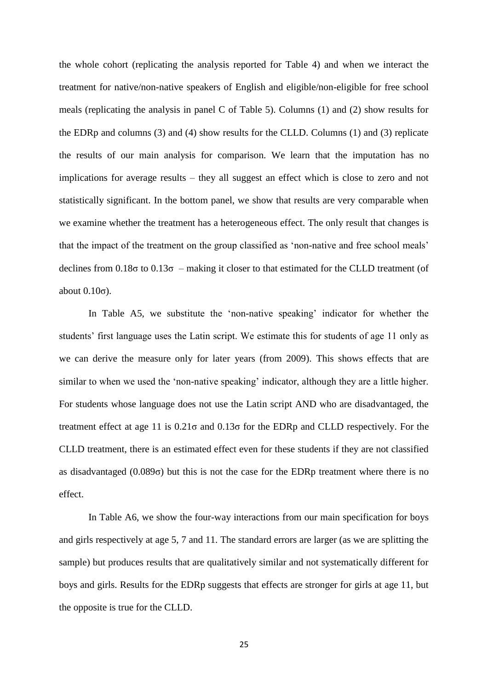the whole cohort (replicating the analysis reported for Table 4) and when we interact the treatment for native/non-native speakers of English and eligible/non-eligible for free school meals (replicating the analysis in panel C of Table 5). Columns (1) and (2) show results for the EDRp and columns (3) and (4) show results for the CLLD. Columns (1) and (3) replicate the results of our main analysis for comparison. We learn that the imputation has no implications for average results – they all suggest an effect which is close to zero and not statistically significant. In the bottom panel, we show that results are very comparable when we examine whether the treatment has a heterogeneous effect. The only result that changes is that the impact of the treatment on the group classified as 'non-native and free school meals' declines from  $0.18\sigma$  to  $0.13\sigma$  – making it closer to that estimated for the CLLD treatment (of about  $0.10\sigma$ ).

In Table A5, we substitute the 'non-native speaking' indicator for whether the students' first language uses the Latin script. We estimate this for students of age 11 only as we can derive the measure only for later years (from 2009). This shows effects that are similar to when we used the 'non-native speaking' indicator, although they are a little higher. For students whose language does not use the Latin script AND who are disadvantaged, the treatment effect at age 11 is  $0.21\sigma$  and  $0.13\sigma$  for the EDRp and CLLD respectively. For the CLLD treatment, there is an estimated effect even for these students if they are not classified as disadvantaged  $(0.089\sigma)$  but this is not the case for the EDRp treatment where there is no effect.

In Table A6, we show the four-way interactions from our main specification for boys and girls respectively at age 5, 7 and 11. The standard errors are larger (as we are splitting the sample) but produces results that are qualitatively similar and not systematically different for boys and girls. Results for the EDRp suggests that effects are stronger for girls at age 11, but the opposite is true for the CLLD.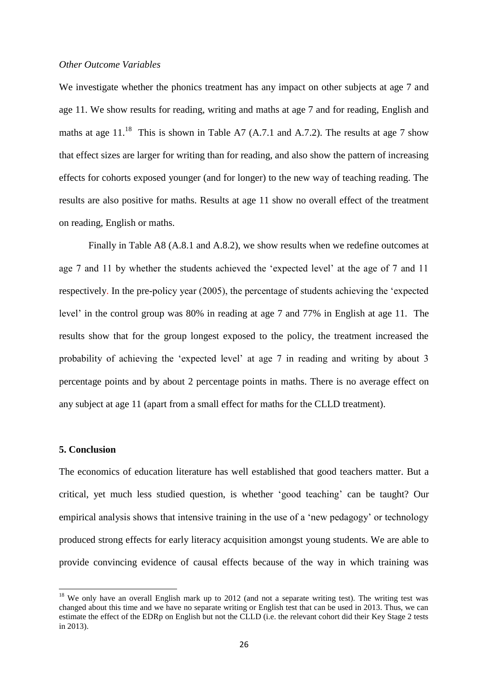#### *Other Outcome Variables*

We investigate whether the phonics treatment has any impact on other subjects at age 7 and age 11. We show results for reading, writing and maths at age 7 and for reading, English and maths at age  $11^{18}$ . This is shown in Table A7 (A.7.1 and A.7.2). The results at age 7 show that effect sizes are larger for writing than for reading, and also show the pattern of increasing effects for cohorts exposed younger (and for longer) to the new way of teaching reading. The results are also positive for maths. Results at age 11 show no overall effect of the treatment on reading, English or maths.

Finally in Table A8 (A.8.1 and A.8.2), we show results when we redefine outcomes at age 7 and 11 by whether the students achieved the 'expected level' at the age of 7 and 11 respectively. In the pre-policy year (2005), the percentage of students achieving the 'expected level' in the control group was 80% in reading at age 7 and 77% in English at age 11. The results show that for the group longest exposed to the policy, the treatment increased the probability of achieving the 'expected level' at age 7 in reading and writing by about 3 percentage points and by about 2 percentage points in maths. There is no average effect on any subject at age 11 (apart from a small effect for maths for the CLLD treatment).

#### **5. Conclusion**

**.** 

The economics of education literature has well established that good teachers matter. But a critical, yet much less studied question, is whether 'good teaching' can be taught? Our empirical analysis shows that intensive training in the use of a 'new pedagogy' or technology produced strong effects for early literacy acquisition amongst young students. We are able to provide convincing evidence of causal effects because of the way in which training was

 $18$  We only have an overall English mark up to 2012 (and not a separate writing test). The writing test was changed about this time and we have no separate writing or English test that can be used in 2013. Thus, we can estimate the effect of the EDRp on English but not the CLLD (i.e. the relevant cohort did their Key Stage 2 tests in 2013).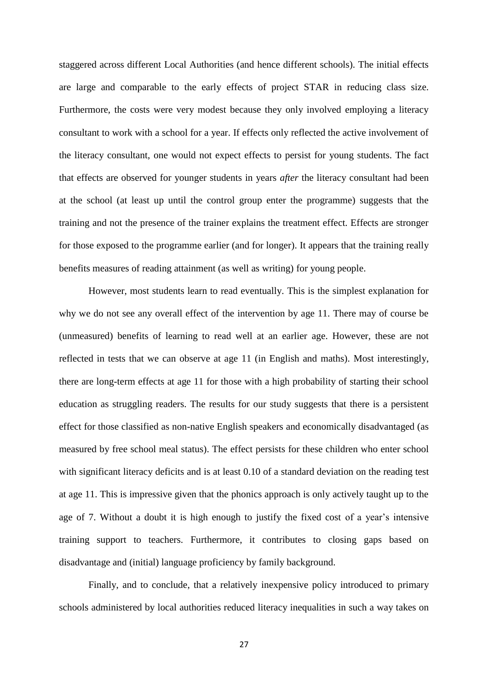staggered across different Local Authorities (and hence different schools). The initial effects are large and comparable to the early effects of project STAR in reducing class size. Furthermore, the costs were very modest because they only involved employing a literacy consultant to work with a school for a year. If effects only reflected the active involvement of the literacy consultant, one would not expect effects to persist for young students. The fact that effects are observed for younger students in years *after* the literacy consultant had been at the school (at least up until the control group enter the programme) suggests that the training and not the presence of the trainer explains the treatment effect. Effects are stronger for those exposed to the programme earlier (and for longer). It appears that the training really benefits measures of reading attainment (as well as writing) for young people.

However, most students learn to read eventually. This is the simplest explanation for why we do not see any overall effect of the intervention by age 11. There may of course be (unmeasured) benefits of learning to read well at an earlier age. However, these are not reflected in tests that we can observe at age 11 (in English and maths). Most interestingly, there are long-term effects at age 11 for those with a high probability of starting their school education as struggling readers. The results for our study suggests that there is a persistent effect for those classified as non-native English speakers and economically disadvantaged (as measured by free school meal status). The effect persists for these children who enter school with significant literacy deficits and is at least 0.10 of a standard deviation on the reading test at age 11. This is impressive given that the phonics approach is only actively taught up to the age of 7. Without a doubt it is high enough to justify the fixed cost of a year's intensive training support to teachers. Furthermore, it contributes to closing gaps based on disadvantage and (initial) language proficiency by family background.

Finally, and to conclude, that a relatively inexpensive policy introduced to primary schools administered by local authorities reduced literacy inequalities in such a way takes on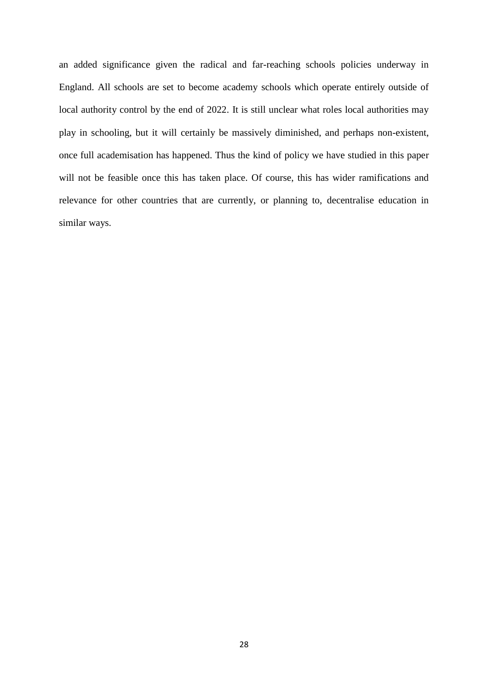an added significance given the radical and far-reaching schools policies underway in England. All schools are set to become academy schools which operate entirely outside of local authority control by the end of 2022. It is still unclear what roles local authorities may play in schooling, but it will certainly be massively diminished, and perhaps non-existent, once full academisation has happened. Thus the kind of policy we have studied in this paper will not be feasible once this has taken place. Of course, this has wider ramifications and relevance for other countries that are currently, or planning to, decentralise education in similar ways.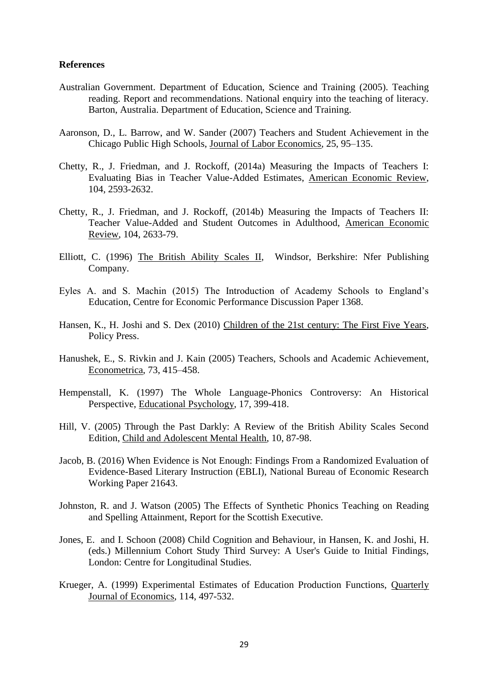#### **References**

- Australian Government. Department of Education, Science and Training (2005). Teaching reading. Report and recommendations. National enquiry into the teaching of literacy. Barton, Australia. Department of Education, Science and Training.
- Aaronson, D., L. Barrow, and W. Sander (2007) Teachers and Student Achievement in the Chicago Public High Schools, Journal of Labor Economics, 25, 95–135.
- Chetty, R., J. Friedman, and J. Rockoff, (2014a) Measuring the Impacts of Teachers I: Evaluating Bias in Teacher Value-Added Estimates, American Economic Review, 104, 2593-2632.
- Chetty, R., J. Friedman, and J. Rockoff, (2014b) Measuring the Impacts of Teachers II: Teacher Value-Added and Student Outcomes in Adulthood, American Economic Review, 104, 2633-79.
- Elliott, C. (1996) The British Ability Scales II, Windsor, Berkshire: Nfer Publishing Company.
- Eyles A. and S. Machin (2015) The Introduction of Academy Schools to England's Education, Centre for Economic Performance Discussion Paper 1368.
- Hansen, K., H. Joshi and S. Dex (2010) Children of the 21st century: The First Five Years, Policy Press.
- Hanushek, E., S. Rivkin and J. Kain (2005) Teachers, Schools and Academic Achievement, Econometrica, 73, 415–458.
- Hempenstall, K. (1997) The Whole Language-Phonics Controversy: An Historical Perspective, Educational Psychology, 17, 399-418.
- Hill, V. (2005) Through the Past Darkly: A Review of the British Ability Scales Second Edition, Child and Adolescent Mental Health, 10, 87-98.
- Jacob, B. (2016) When Evidence is Not Enough: Findings From a Randomized Evaluation of Evidence-Based Literary Instruction (EBLI), National Bureau of Economic Research Working Paper 21643.
- Johnston, R. and J. Watson (2005) The Effects of Synthetic Phonics Teaching on Reading and Spelling Attainment, Report for the Scottish Executive.
- Jones, E. and I. Schoon (2008) Child Cognition and Behaviour, in Hansen, K. and Joshi, H. (eds.) Millennium Cohort Study Third Survey: A User's Guide to Initial Findings, London: Centre for Longitudinal Studies.
- Krueger, A. (1999) Experimental Estimates of Education Production Functions, Quarterly Journal of Economics, 114, 497-532.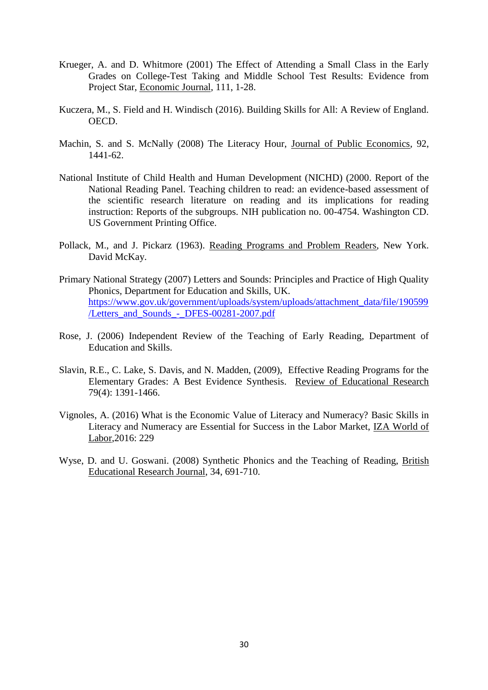- Krueger, A. and D. Whitmore (2001) The Effect of Attending a Small Class in the Early Grades on College-Test Taking and Middle School Test Results: Evidence from Project Star, Economic Journal, 111, 1-28.
- Kuczera, M., S. Field and H. Windisch (2016). Building Skills for All: A Review of England. OECD.
- Machin, S. and S. McNally (2008) The Literacy Hour, Journal of Public Economics, 92, 1441-62.
- National Institute of Child Health and Human Development (NICHD) (2000. Report of the National Reading Panel. Teaching children to read: an evidence-based assessment of the scientific research literature on reading and its implications for reading instruction: Reports of the subgroups. NIH publication no. 00-4754. Washington CD. US Government Printing Office.
- Pollack, M., and J. Pickarz (1963). Reading Programs and Problem Readers, New York. David McKay.
- Primary National Strategy (2007) Letters and Sounds: Principles and Practice of High Quality Phonics*,* Department for Education and Skills, UK. [https://www.gov.uk/government/uploads/system/uploads/attachment\\_data/file/190599](https://www.gov.uk/government/uploads/system/uploads/attachment_data/file/190599/Letters_and_Sounds_-_DFES-00281-2007.pdf) [/Letters\\_and\\_Sounds\\_-\\_DFES-00281-2007.pdf](https://www.gov.uk/government/uploads/system/uploads/attachment_data/file/190599/Letters_and_Sounds_-_DFES-00281-2007.pdf)
- Rose, J. (2006) Independent Review of the Teaching of Early Reading*,* Department of Education and Skills.
- Slavin, R.E., C. Lake, S. Davis, and N. Madden, (2009), Effective Reading Programs for the Elementary Grades: A Best Evidence Synthesis. Review of Educational Research 79(4): 1391-1466.
- Vignoles, A. (2016) What is the Economic Value of Literacy and Numeracy? Basic Skills in Literacy and Numeracy are Essential for Success in the Labor Market, IZA World of Labor,2016: 229
- Wyse, D. and U. Goswani. (2008) Synthetic Phonics and the Teaching of Reading, British Educational Research Journal, 34, 691-710.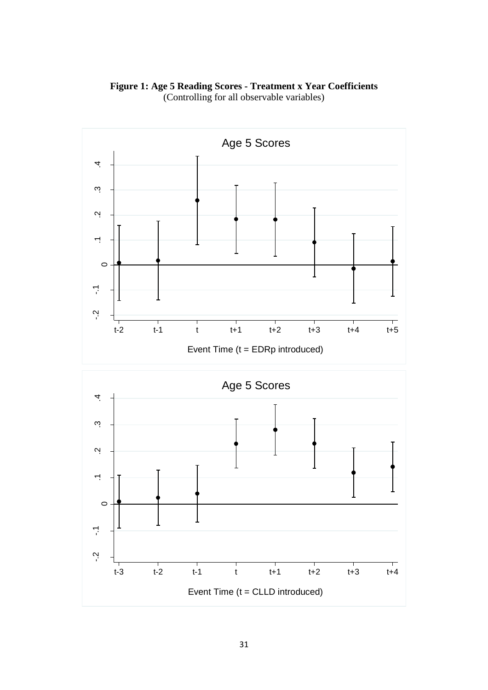

(Controlling for all observable variables)

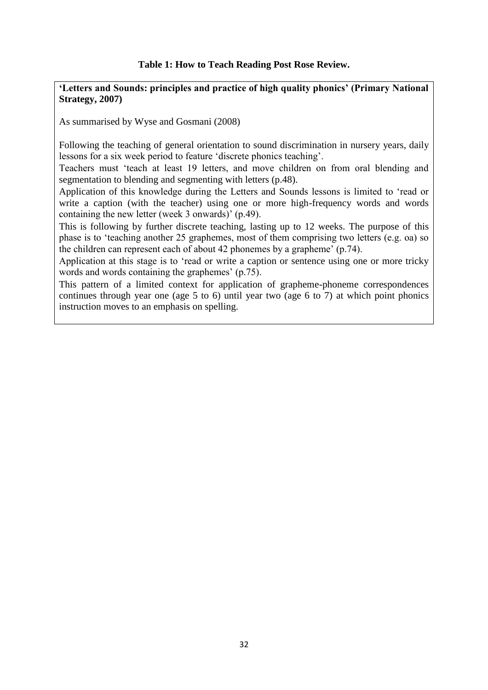#### **Table 1: How to Teach Reading Post Rose Review.**

**'Letters and Sounds: principles and practice of high quality phonics' (Primary National Strategy, 2007)**

As summarised by Wyse and Gosmani (2008)

 Following the teaching of general orientation to sound discrimination in nursery years, daily lessons for a six week period to feature 'discrete phonics teaching'.

 Teachers must 'teach at least 19 letters, and move children on from oral blending and segmentation to blending and segmenting with letters (p.48).

 Application of this knowledge during the Letters and Sounds lessons is limited to 'read or write a caption (with the teacher) using one or more high-frequency words and words containing the new letter (week 3 onwards)' (p.49).

 This is following by further discrete teaching, lasting up to 12 weeks. The purpose of this phase is to 'teaching another 25 graphemes, most of them comprising two letters (e.g. oa) so the children can represent each of about 42 phonemes by a grapheme' (p.74).

 Application at this stage is to 'read or write a caption or sentence using one or more tricky words and words containing the graphemes' (p.75).

 This pattern of a limited context for application of grapheme-phoneme correspondences continues through year one (age 5 to 6) until year two (age 6 to 7) at which point phonics instruction moves to an emphasis on spelling.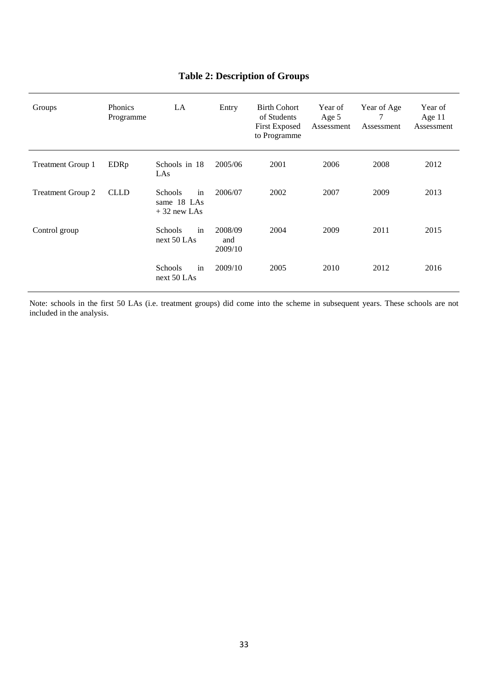| Groups                   | <b>Phonics</b><br>Programme | LA                                                   | Entry                     | <b>Birth Cohort</b><br>of Students<br><b>First Exposed</b><br>to Programme | Year of<br>Age 5<br>Assessment | Year of Age<br>7<br>Assessment | Year of<br>Age $11$<br>Assessment |
|--------------------------|-----------------------------|------------------------------------------------------|---------------------------|----------------------------------------------------------------------------|--------------------------------|--------------------------------|-----------------------------------|
| <b>Treatment Group 1</b> | EDRp                        | Schools in 18<br>LAS                                 | 2005/06                   | 2001                                                                       | 2006                           | 2008                           | 2012                              |
| <b>Treatment Group 2</b> | <b>CLLD</b>                 | in<br><b>Schools</b><br>same 18 LAs<br>$+32$ new LAs | 2006/07                   | 2002                                                                       | 2007                           | 2009                           | 2013                              |
| Control group            |                             | in<br><b>Schools</b><br>next 50 LAs                  | 2008/09<br>and<br>2009/10 | 2004                                                                       | 2009                           | 2011                           | 2015                              |
|                          |                             | in<br>Schools<br>next 50 LAs                         | 2009/10                   | 2005                                                                       | 2010                           | 2012                           | 2016                              |

### **Table 2: Description of Groups**

Note: schools in the first 50 LAs (i.e. treatment groups) did come into the scheme in subsequent years. These schools are not included in the analysis.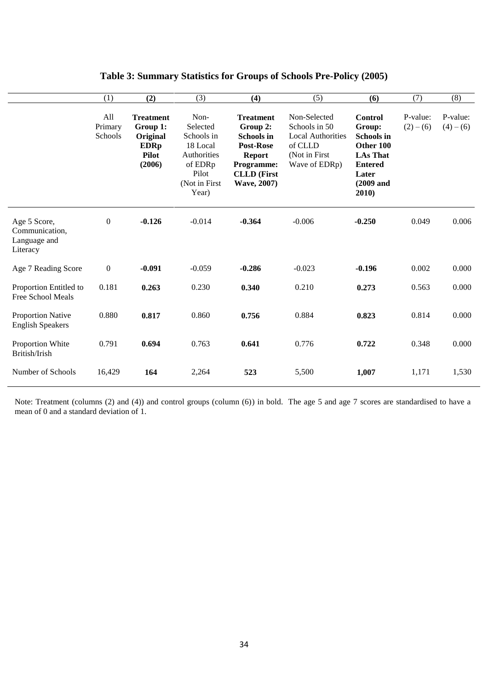|                                                            | (1)                       | (2)                                                                               | (3)                                                                                                     | (4)                                                                                                                                       | (5)                                                                                                    | (6)                                                                                                                              | (7)                   | (8)                   |
|------------------------------------------------------------|---------------------------|-----------------------------------------------------------------------------------|---------------------------------------------------------------------------------------------------------|-------------------------------------------------------------------------------------------------------------------------------------------|--------------------------------------------------------------------------------------------------------|----------------------------------------------------------------------------------------------------------------------------------|-----------------------|-----------------------|
|                                                            | All<br>Primary<br>Schools | <b>Treatment</b><br>Group 1:<br>Original<br><b>EDRp</b><br><b>Pilot</b><br>(2006) | Non-<br>Selected<br>Schools in<br>18 Local<br>Authorities<br>of EDRp<br>Pilot<br>(Not in First<br>Year) | <b>Treatment</b><br>Group 2:<br><b>Schools in</b><br><b>Post-Rose</b><br><b>Report</b><br>Programme:<br><b>CLLD</b> (First<br>Wave, 2007) | Non-Selected<br>Schools in 50<br><b>Local Authorities</b><br>of CLLD<br>(Not in First<br>Wave of EDRp) | <b>Control</b><br>Group:<br><b>Schools in</b><br>Other 100<br><b>LAs That</b><br><b>Entered</b><br>Later<br>$(2009$ and<br>2010) | P-value:<br>$(2)-(6)$ | P-value:<br>$(4)-(6)$ |
| Age 5 Score,<br>Communication,<br>Language and<br>Literacy | $\mathbf{0}$              | $-0.126$                                                                          | $-0.014$                                                                                                | $-0.364$                                                                                                                                  | $-0.006$                                                                                               | $-0.250$                                                                                                                         | 0.049                 | 0.006                 |
| Age 7 Reading Score                                        | $\mathbf{0}$              | $-0.091$                                                                          | $-0.059$                                                                                                | $-0.286$                                                                                                                                  | $-0.023$                                                                                               | $-0.196$                                                                                                                         | 0.002                 | 0.000                 |
| Proportion Entitled to<br>Free School Meals                | 0.181                     | 0.263                                                                             | 0.230                                                                                                   | 0.340                                                                                                                                     | 0.210                                                                                                  | 0.273                                                                                                                            | 0.563                 | 0.000                 |
| <b>Proportion Native</b><br><b>English Speakers</b>        | 0.880                     | 0.817                                                                             | 0.860                                                                                                   | 0.756                                                                                                                                     | 0.884                                                                                                  | 0.823                                                                                                                            | 0.814                 | 0.000                 |
| Proportion White<br>British/Irish                          | 0.791                     | 0.694                                                                             | 0.763                                                                                                   | 0.641                                                                                                                                     | 0.776                                                                                                  | 0.722                                                                                                                            | 0.348                 | 0.000                 |
| Number of Schools                                          | 16,429                    | 164                                                                               | 2,264                                                                                                   | 523                                                                                                                                       | 5,500                                                                                                  | 1,007                                                                                                                            | 1,171                 | 1,530                 |

#### **Table 3: Summary Statistics for Groups of Schools Pre-Policy (2005)**

Note: Treatment (columns (2) and (4)) and control groups (column (6)) in bold. The age 5 and age 7 scores are standardised to have a mean of 0 and a standard deviation of 1.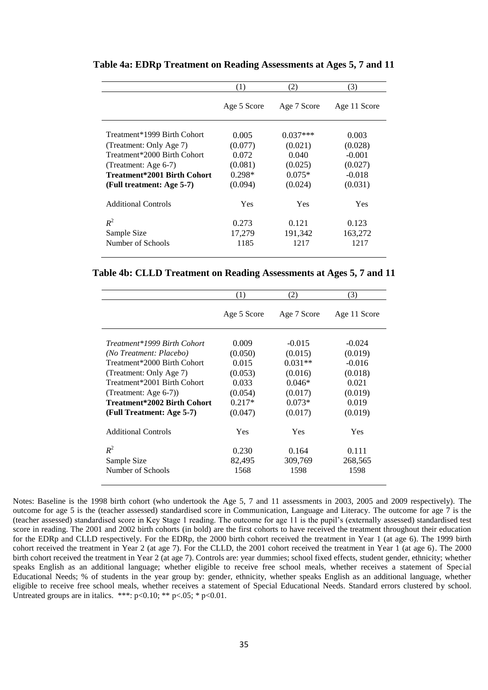|                                                                                                                                                                           | (1)                                                         | (2)                                                              | (3)                                                            |
|---------------------------------------------------------------------------------------------------------------------------------------------------------------------------|-------------------------------------------------------------|------------------------------------------------------------------|----------------------------------------------------------------|
|                                                                                                                                                                           | Age 5 Score                                                 | Age 7 Score                                                      | Age 11 Score                                                   |
| Treatment*1999 Birth Cohort<br>(Treatment: Only Age 7)<br>Treatment*2000 Birth Cohort<br>(Treatment: Age 6-7)<br>Treatment*2001 Birth Cohort<br>(Full treatment: Age 5-7) | 0.005<br>(0.077)<br>0.072<br>(0.081)<br>$0.298*$<br>(0.094) | $0.037***$<br>(0.021)<br>0.040<br>(0.025)<br>$0.075*$<br>(0.024) | 0.003<br>(0.028)<br>$-0.001$<br>(0.027)<br>$-0.018$<br>(0.031) |
| <b>Additional Controls</b>                                                                                                                                                | Yes                                                         | Yes                                                              | Yes                                                            |
| $R^2$<br>Sample Size<br>Number of Schools                                                                                                                                 | 0.273<br>17,279<br>1185                                     | 0.121<br>191,342<br>1217                                         | 0.123<br>163,272<br>1217                                       |

**Table 4a: EDRp Treatment on Reading Assessments at Ages 5, 7 and 11**

**Table 4b: CLLD Treatment on Reading Assessments at Ages 5, 7 and 11**

|                                                        | (1)              | (2)                 | (3)                 |
|--------------------------------------------------------|------------------|---------------------|---------------------|
|                                                        | Age 5 Score      | Age 7 Score         | Age 11 Score        |
| Treatment*1999 Birth Cohort<br>(No Treatment: Placebo) | 0.009<br>(0.050) | $-0.015$<br>(0.015) | $-0.024$<br>(0.019) |
| Treatment*2000 Birth Cohort                            | 0.015            | $0.031**$           | $-0.016$            |
| (Treatment: Only Age 7)                                | (0.053)          | (0.016)             | (0.018)             |
| Treatment*2001 Birth Cohort                            | 0.033            | $0.046*$            | 0.021               |
| (Treatment: Age $6-7$ ))                               | (0.054)          | (0.017)             | (0.019)             |
| Treatment*2002 Birth Cohort                            | $0.217*$         | $0.073*$            | 0.019               |
| (Full Treatment: Age 5-7)                              | (0.047)          | (0.017)             | (0.019)             |
| <b>Additional Controls</b>                             | Yes              | Yes                 | Yes                 |
| $R^2$                                                  | 0.230            | 0.164               | 0.111               |
| Sample Size                                            | 82,495           | 309,769             | 268,565             |
| Number of Schools                                      | 1568             | 1598                | 1598                |

Notes: Baseline is the 1998 birth cohort (who undertook the Age 5, 7 and 11 assessments in 2003, 2005 and 2009 respectively). The outcome for age 5 is the (teacher assessed) standardised score in Communication, Language and Literacy. The outcome for age 7 is the (teacher assessed) standardised score in Key Stage 1 reading. The outcome for age 11 is the pupil's (externally assessed) standardised test score in reading. The 2001 and 2002 birth cohorts (in bold) are the first cohorts to have received the treatment throughout their education for the EDRp and CLLD respectively. For the EDRp, the 2000 birth cohort received the treatment in Year 1 (at age 6). The 1999 birth cohort received the treatment in Year 2 (at age 7). For the CLLD, the 2001 cohort received the treatment in Year 1 (at age 6). The 2000 birth cohort received the treatment in Year 2 (at age 7). Controls are: year dummies; school fixed effects, student gender, ethnicity; whether speaks English as an additional language; whether eligible to receive free school meals, whether receives a statement of Special Educational Needs; % of students in the year group by: gender, ethnicity, whether speaks English as an additional language, whether eligible to receive free school meals, whether receives a statement of Special Educational Needs. Standard errors clustered by school. Untreated groups are in italics. \*\*\*:  $p<0.10$ ; \*\*  $p<0.5$ ; \*  $p<0.01$ .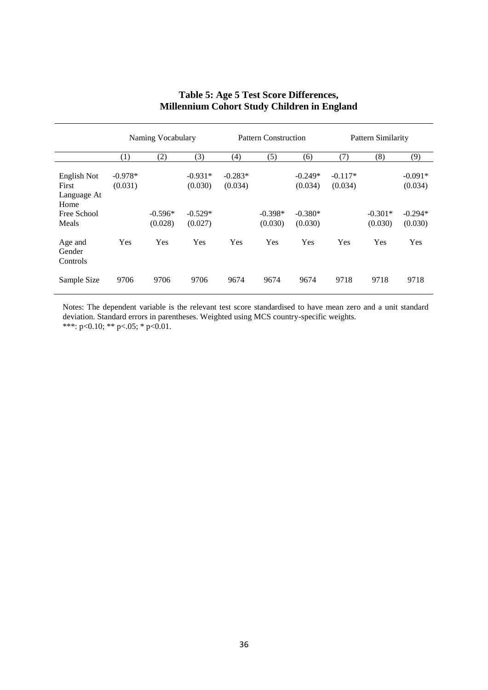|                                                                     | Naming Vocabulary    |                      | <b>Pattern Construction</b>                  |                      |                      | Pattern Similarity                           |                      |                      |                                              |
|---------------------------------------------------------------------|----------------------|----------------------|----------------------------------------------|----------------------|----------------------|----------------------------------------------|----------------------|----------------------|----------------------------------------------|
|                                                                     | (1)                  | (2)                  | (3)                                          | (4)                  | (5)                  | (6)                                          | (7)                  | (8)                  | (9)                                          |
| English Not<br>First<br>Language At<br>Home<br>Free School<br>Meals | $-0.978*$<br>(0.031) | $-0.596*$<br>(0.028) | $-0.931*$<br>(0.030)<br>$-0.529*$<br>(0.027) | $-0.283*$<br>(0.034) | $-0.398*$<br>(0.030) | $-0.249*$<br>(0.034)<br>$-0.380*$<br>(0.030) | $-0.117*$<br>(0.034) | $-0.301*$<br>(0.030) | $-0.091*$<br>(0.034)<br>$-0.294*$<br>(0.030) |
| Age and<br>Gender<br>Controls                                       | Yes                  | Yes                  | Yes                                          | Yes                  | Yes                  | Yes                                          | Yes                  | Yes                  | Yes                                          |
| Sample Size                                                         | 9706                 | 9706                 | 9706                                         | 9674                 | 9674                 | 9674                                         | 9718                 | 9718                 | 9718                                         |

### **Table 5: Age 5 Test Score Differences, Millennium Cohort Study Children in England**

Notes: The dependent variable is the relevant test score standardised to have mean zero and a unit standard deviation. Standard errors in parentheses. Weighted using MCS country-specific weights. \*\*\*: p<0.10; \*\* p<.05; \* p<0.01.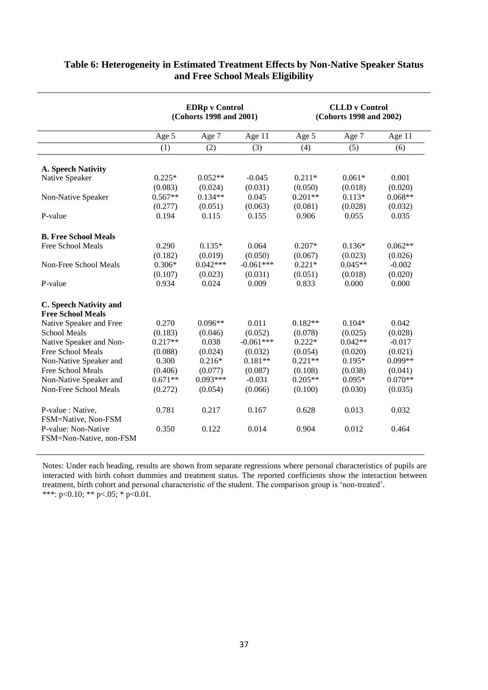|                                                | <b>EDRp</b> v Control<br>(Cohorts 1998 and 2001) |            |             | <b>CLLD</b> v Control<br>(Cohorts 1998 and 2002) |           |           |
|------------------------------------------------|--------------------------------------------------|------------|-------------|--------------------------------------------------|-----------|-----------|
|                                                | Age 5                                            | Age 7      | Age 11      | Age 5                                            | Age 7     | Age 11    |
|                                                | (1)                                              | (2)        | (3)         | (4)                                              | (5)       | (6)       |
| A. Speech Nativity                             |                                                  |            |             |                                                  |           |           |
| Native Speaker                                 | $0.225*$                                         | $0.052**$  | $-0.045$    | $0.211*$                                         | $0.061*$  | 0.001     |
|                                                | (0.083)                                          | (0.024)    | (0.031)     | (0.050)                                          | (0.018)   | (0.020)   |
| Non-Native Speaker                             | $0.567**$                                        | $0.134**$  | 0.045       | $0.201**$                                        | $0.113*$  | $0.068**$ |
|                                                | (0.277)                                          | (0.051)    | (0.063)     | (0.081)                                          | (0.028)   | (0.032)   |
| P-value                                        | 0.194                                            | 0.115      | 0.155       | 0.906                                            | 0.055     | 0.035     |
| <b>B. Free School Meals</b>                    |                                                  |            |             |                                                  |           |           |
| Free School Meals                              | 0.290                                            | $0.135*$   | 0.064       | $0.207*$                                         | $0.136*$  | $0.062**$ |
|                                                | (0.182)                                          | (0.019)    | (0.050)     | (0.067)                                          | (0.023)   | (0.026)   |
| Non-Free School Meals                          | $0.306*$                                         | $0.042***$ | $-0.061***$ | $0.221*$                                         | $0.045**$ | $-0.002$  |
|                                                | (0.107)                                          | (0.023)    | (0.031)     | (0.051)                                          | (0.018)   | (0.020)   |
| P-value                                        | 0.934                                            | 0.024      | 0.009       | 0.833                                            | 0.000     | 0.000     |
| C. Speech Nativity and                         |                                                  |            |             |                                                  |           |           |
| <b>Free School Meals</b>                       |                                                  |            |             |                                                  |           |           |
| Native Speaker and Free                        | 0.270                                            | $0.096**$  | 0.011       | $0.182**$                                        | $0.104*$  | 0.042     |
| <b>School Meals</b>                            | (0.183)                                          | (0.046)    | (0.052)     | (0.078)                                          | (0.025)   | (0.028)   |
| Native Speaker and Non-                        | $0.217**$                                        | 0.038      | $-0.061***$ | $0.222*$                                         | $0.042**$ | $-0.017$  |
| Free School Meals                              | (0.088)                                          | (0.024)    | (0.032)     | (0.054)                                          | (0.020)   | (0.021)   |
| Non-Native Speaker and                         | 0.300                                            | $0.216*$   | $0.181**$   | $0.221**$                                        | $0.195*$  | $0.099**$ |
| Free School Meals                              | (0.406)                                          | (0.077)    | (0.087)     | (0.108)                                          | (0.038)   | (0.041)   |
| Non-Native Speaker and                         | $0.671**$                                        | $0.093***$ | $-0.031$    | $0.205**$                                        | $0.095*$  | $0.070**$ |
| Non-Free School Meals                          | (0.272)                                          | (0.054)    | (0.066)     | (0.100)                                          | (0.030)   | (0.035)   |
| P-value : Native,<br>FSM=Native, Non-FSM       | 0.781                                            | 0.217      | 0.167       | 0.628                                            | 0.013     | 0.032     |
| P-value: Non-Native<br>FSM=Non-Native, non-FSM | 0.350                                            | 0.122      | 0.014       | 0.904                                            | 0.012     | 0.464     |

#### **Table 6: Heterogeneity in Estimated Treatment Effects by Non-Native Speaker Status and Free School Meals Eligibility**

Notes: Under each heading, results are shown from separate regressions where personal characteristics of pupils are interacted with birth cohort dummies and treatment status. The reported coefficients show the interaction between treatment, birth cohort and personal characteristic of the student. The comparison group is 'non-treated'. \*\*\*: p<0.10; \*\* p<.05; \* p<0.01.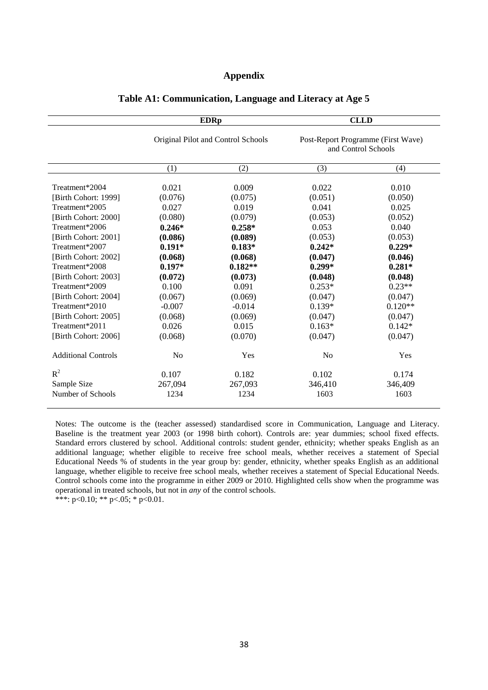#### **Appendix**

|                            | <b>EDRp</b><br>Original Pilot and Control Schools |           | <b>CLLD</b>                                               |           |  |
|----------------------------|---------------------------------------------------|-----------|-----------------------------------------------------------|-----------|--|
|                            |                                                   |           | Post-Report Programme (First Wave)<br>and Control Schools |           |  |
|                            | (1)                                               | (2)       | (3)                                                       | (4)       |  |
| Treatment*2004             | 0.021                                             | 0.009     | 0.022                                                     | 0.010     |  |
| [Birth Cohort: 1999]       | (0.076)                                           | (0.075)   | (0.051)                                                   | (0.050)   |  |
| Treatment*2005             | 0.027                                             | 0.019     | 0.041                                                     | 0.025     |  |
| [Birth Cohort: 2000]       | (0.080)                                           | (0.079)   | (0.053)                                                   | (0.052)   |  |
| Treatment*2006             | $0.246*$                                          | $0.258*$  | 0.053                                                     | 0.040     |  |
| [Birth Cohort: 2001]       | (0.086)                                           | (0.089)   | (0.053)                                                   | (0.053)   |  |
| Treatment*2007             | $0.191*$                                          | $0.183*$  | $0.242*$                                                  | $0.229*$  |  |
| [Birth Cohort: 2002]       | (0.068)                                           | (0.068)   | (0.047)                                                   | (0.046)   |  |
| Treatment*2008             | $0.197*$                                          | $0.182**$ | $0.299*$                                                  | $0.281*$  |  |
| [Birth Cohort: 2003]       | (0.072)                                           | (0.073)   | (0.048)                                                   | (0.048)   |  |
| Treatment*2009             | 0.100                                             | 0.091     | $0.253*$                                                  | $0.23**$  |  |
| [Birth Cohort: 2004]       | (0.067)                                           | (0.069)   | (0.047)                                                   | (0.047)   |  |
| Treatment*2010             | $-0.007$                                          | $-0.014$  | $0.139*$                                                  | $0.120**$ |  |
| [Birth Cohort: 2005]       | (0.068)                                           | (0.069)   | (0.047)                                                   | (0.047)   |  |
| Treatment*2011             | 0.026                                             | 0.015     | $0.163*$                                                  | $0.142*$  |  |
| [Birth Cohort: 2006]       | (0.068)                                           | (0.070)   | (0.047)                                                   | (0.047)   |  |
| <b>Additional Controls</b> | N <sub>0</sub>                                    | Yes       | N <sub>0</sub>                                            | Yes       |  |
| $R^2$                      | 0.107                                             | 0.182     | 0.102                                                     | 0.174     |  |
| Sample Size                | 267,094                                           | 267,093   | 346,410                                                   | 346,409   |  |
| Number of Schools          | 1234                                              | 1234      | 1603                                                      | 1603      |  |

#### **Table A1: Communication, Language and Literacy at Age 5**

Notes: The outcome is the (teacher assessed) standardised score in Communication, Language and Literacy. Baseline is the treatment year 2003 (or 1998 birth cohort). Controls are: year dummies; school fixed effects. Standard errors clustered by school. Additional controls: student gender, ethnicity; whether speaks English as an additional language; whether eligible to receive free school meals, whether receives a statement of Special Educational Needs % of students in the year group by: gender, ethnicity, whether speaks English as an additional language, whether eligible to receive free school meals, whether receives a statement of Special Educational Needs. Control schools come into the programme in either 2009 or 2010. Highlighted cells show when the programme was operational in treated schools, but not in *any* of the control schools.

\*\*\*:  $p<0.10$ ; \*\*  $p<0.5$ ; \*  $p<0.01$ .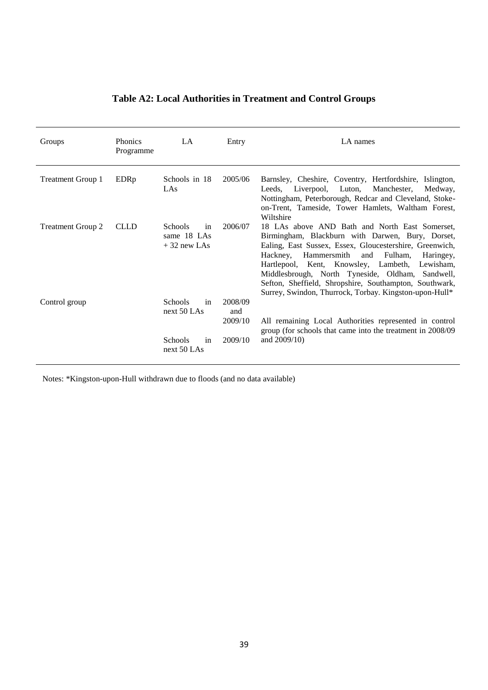| Groups                   | <b>Phonics</b><br>Programme | LA                                                                           | Entry                                | LA names                                                                                                                                                                                                                                                                                                                                                                                                                                          |
|--------------------------|-----------------------------|------------------------------------------------------------------------------|--------------------------------------|---------------------------------------------------------------------------------------------------------------------------------------------------------------------------------------------------------------------------------------------------------------------------------------------------------------------------------------------------------------------------------------------------------------------------------------------------|
| <b>Treatment Group 1</b> | EDRp                        | Schools in 18<br>LAs                                                         | 2005/06                              | Barnsley, Cheshire, Coventry, Hertfordshire, Islington,<br>Liverpool, Luton,<br>Manchester,<br>Leeds.<br>Medway.<br>Nottingham, Peterborough, Redcar and Cleveland, Stoke-<br>on-Trent, Tameside, Tower Hamlets, Waltham Forest,<br>Wiltshire                                                                                                                                                                                                     |
| <b>Treatment Group 2</b> | <b>CLLD</b>                 | <b>Schools</b><br>in<br>same 18 LAs<br>$+32$ new LAs                         | 2006/07                              | 18 LAs above AND Bath and North East Somerset,<br>Birmingham, Blackburn with Darwen, Bury, Dorset,<br>Ealing, East Sussex, Essex, Gloucestershire, Greenwich,<br>Hackney, Hammersmith<br>and<br>Fulham,<br>Haringey,<br>Hartlepool, Kent, Knowsley, Lambeth,<br>Lewisham,<br>Middlesbrough, North Tyneside, Oldham, Sandwell,<br>Sefton, Sheffield, Shropshire, Southampton, Southwark,<br>Surrey, Swindon, Thurrock, Torbay. Kingston-upon-Hull* |
| Control group            |                             | <b>Schools</b><br>in<br>next $50$ LAs<br><b>Schools</b><br>in<br>next 50 LAs | 2008/09<br>and<br>2009/10<br>2009/10 | All remaining Local Authorities represented in control<br>group (for schools that came into the treatment in 2008/09<br>and $2009/10$ )                                                                                                                                                                                                                                                                                                           |

## **Table A2: Local Authorities in Treatment and Control Groups**

Notes: \*Kingston-upon-Hull withdrawn due to floods (and no data available)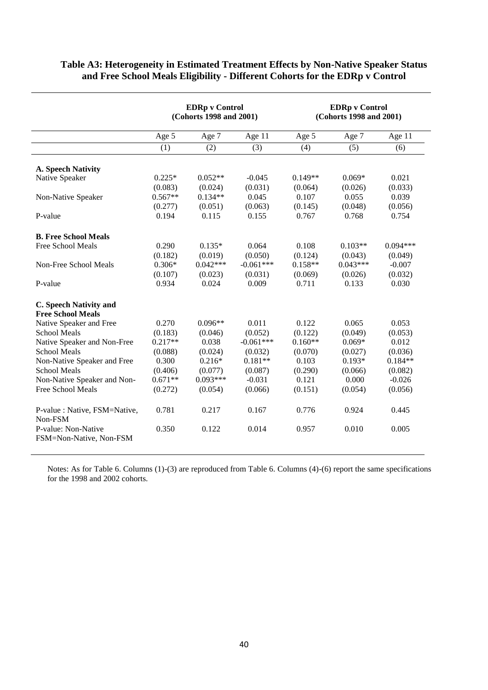|                                                |           | <b>EDRp</b> v Control<br>(Cohorts 1998 and 2001) |             | <b>EDRp v Control</b><br>(Cohorts 1998 and 2001) |            |            |
|------------------------------------------------|-----------|--------------------------------------------------|-------------|--------------------------------------------------|------------|------------|
|                                                | Age 5     | Age 7                                            | Age 11      | Age 5                                            | Age 7      | Age 11     |
|                                                | (1)       | (2)                                              | (3)         | (4)                                              | (5)        | (6)        |
| <b>A. Speech Nativity</b>                      |           |                                                  |             |                                                  |            |            |
| Native Speaker                                 | $0.225*$  | $0.052**$                                        | $-0.045$    | $0.149**$                                        | $0.069*$   | 0.021      |
|                                                | (0.083)   | (0.024)                                          | (0.031)     | (0.064)                                          | (0.026)    | (0.033)    |
| Non-Native Speaker                             | $0.567**$ | $0.134**$                                        | 0.045       | 0.107                                            | 0.055      | 0.039      |
|                                                | (0.277)   | (0.051)                                          | (0.063)     | (0.145)                                          | (0.048)    | (0.056)    |
| P-value                                        | 0.194     | 0.115                                            | 0.155       | 0.767                                            | 0.768      | 0.754      |
| <b>B. Free School Meals</b>                    |           |                                                  |             |                                                  |            |            |
| Free School Meals                              | 0.290     | $0.135*$                                         | 0.064       | 0.108                                            | $0.103**$  | $0.094***$ |
|                                                | (0.182)   | (0.019)                                          | (0.050)     | (0.124)                                          | (0.043)    | (0.049)    |
| Non-Free School Meals                          | $0.306*$  | $0.042***$                                       | $-0.061***$ | $0.158**$                                        | $0.043***$ | $-0.007$   |
|                                                | (0.107)   | (0.023)                                          | (0.031)     | (0.069)                                          | (0.026)    | (0.032)    |
| P-value                                        | 0.934     | 0.024                                            | 0.009       | 0.711                                            | 0.133      | 0.030      |
| <b>C. Speech Nativity and</b>                  |           |                                                  |             |                                                  |            |            |
| <b>Free School Meals</b>                       |           |                                                  |             |                                                  |            |            |
| Native Speaker and Free                        | 0.270     | $0.096**$                                        | 0.011       | 0.122                                            | 0.065      | 0.053      |
| <b>School Meals</b>                            | (0.183)   | (0.046)                                          | (0.052)     | (0.122)                                          | (0.049)    | (0.053)    |
| Native Speaker and Non-Free                    | $0.217**$ | 0.038                                            | $-0.061***$ | $0.160**$                                        | $0.069*$   | 0.012      |
| <b>School Meals</b>                            | (0.088)   | (0.024)                                          | (0.032)     | (0.070)                                          | (0.027)    | (0.036)    |
| Non-Native Speaker and Free                    | 0.300     | $0.216*$                                         | $0.181**$   | 0.103                                            | $0.193*$   | $0.184**$  |
| <b>School Meals</b>                            | (0.406)   | (0.077)                                          | (0.087)     | (0.290)                                          | (0.066)    | (0.082)    |
| Non-Native Speaker and Non-                    | $0.671**$ | $0.093***$                                       | $-0.031$    | 0.121                                            | 0.000      | $-0.026$   |
| Free School Meals                              | (0.272)   | (0.054)                                          | (0.066)     | (0.151)                                          | (0.054)    | (0.056)    |
| P-value : Native, FSM=Native,<br>Non-FSM       | 0.781     | 0.217                                            | 0.167       | 0.776                                            | 0.924      | 0.445      |
| P-value: Non-Native<br>FSM=Non-Native, Non-FSM | 0.350     | 0.122                                            | 0.014       | 0.957                                            | 0.010      | 0.005      |

#### **Table A3: Heterogeneity in Estimated Treatment Effects by Non-Native Speaker Status and Free School Meals Eligibility - Different Cohorts for the EDRp v Control**

Notes: As for Table 6. Columns (1)-(3) are reproduced from Table 6. Columns (4)-(6) report the same specifications for the 1998 and 2002 cohorts.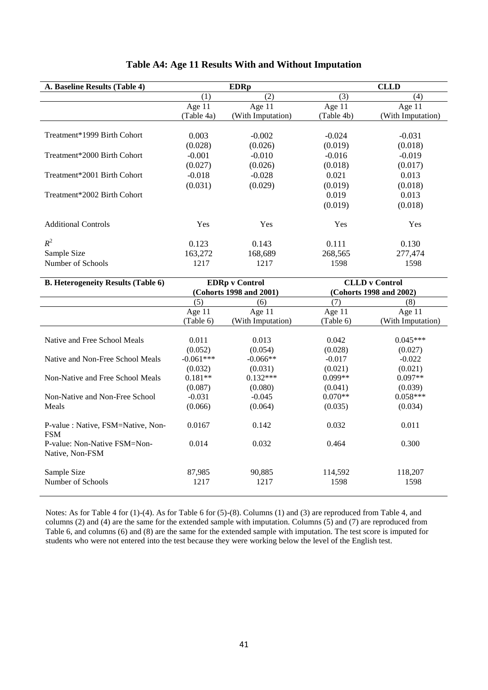| A. Baseline Results (Table 4) |            | <b>EDRp</b>       |            | <b>CLLD</b>       |
|-------------------------------|------------|-------------------|------------|-------------------|
|                               | (1)        | (2)               | (3)        | (4)               |
|                               | Age $11$   | Age 11            | Age 11     | Age $11$          |
|                               | (Table 4a) | (With Imputation) | (Table 4b) | (With Imputation) |
|                               |            |                   |            |                   |
| Treatment*1999 Birth Cohort   | 0.003      | $-0.002$          | $-0.024$   | $-0.031$          |
|                               | (0.028)    | (0.026)           | (0.019)    | (0.018)           |
| Treatment*2000 Birth Cohort   | $-0.001$   | $-0.010$          | $-0.016$   | $-0.019$          |
|                               | (0.027)    | (0.026)           | (0.018)    | (0.017)           |
| Treatment*2001 Birth Cohort   | $-0.018$   | $-0.028$          | 0.021      | 0.013             |
|                               | (0.031)    | (0.029)           | (0.019)    | (0.018)           |
| Treatment*2002 Birth Cohort   |            |                   | 0.019      | 0.013             |
|                               |            |                   | (0.019)    | (0.018)           |
| <b>Additional Controls</b>    | Yes        | Yes               | Yes        | Yes               |
| $R^2$                         | 0.123      | 0.143             | 0.111      | 0.130             |
| Sample Size                   | 163,272    | 168,689           | 268,565    | 277,474           |
| Number of Schools             | 1217       | 1217              | 1598       | 1598              |

#### **Table A4: Age 11 Results With and Without Imputation**

| <b>B. Heterogeneity Results (Table 6)</b>       |                         | <b>EDRp</b> v Control | <b>CLLD</b> v Control |                         |  |
|-------------------------------------------------|-------------------------|-----------------------|-----------------------|-------------------------|--|
|                                                 | (Cohorts 1998 and 2001) |                       |                       | (Cohorts 1998 and 2002) |  |
|                                                 | (5)                     | (6)                   | (7)                   | (8)                     |  |
|                                                 | Age $11$                | Age $11$              | Age $11$              | Age $11$                |  |
|                                                 | (Table 6)               | (With Imputation)     | (Table 6)             | (With Imputation)       |  |
|                                                 |                         |                       |                       |                         |  |
| Native and Free School Meals                    | 0.011                   | 0.013                 | 0.042                 | $0.045***$              |  |
|                                                 | (0.052)                 | (0.054)               | (0.028)               | (0.027)                 |  |
| Native and Non-Free School Meals                | $-0.061***$             | $-0.066**$            | $-0.017$              | $-0.022$                |  |
|                                                 | (0.032)                 | (0.031)               | (0.021)               | (0.021)                 |  |
| Non-Native and Free School Meals                | $0.181**$               | $0.132***$            | $0.099**$             | $0.097**$               |  |
|                                                 | (0.087)                 | (0.080)               | (0.041)               | (0.039)                 |  |
| Non-Native and Non-Free School                  | $-0.031$                | $-0.045$              | $0.070**$             | $0.058***$              |  |
| Meals                                           | (0.066)                 | (0.064)               | (0.035)               | (0.034)                 |  |
| P-value: Native, FSM=Native, Non-<br><b>FSM</b> | 0.0167                  | 0.142                 | 0.032                 | 0.011                   |  |
| P-value: Non-Native FSM=Non-<br>Native, Non-FSM | 0.014                   | 0.032                 | 0.464                 | 0.300                   |  |
| Sample Size                                     | 87,985                  | 90,885                | 114,592               | 118,207                 |  |
| Number of Schools                               | 1217                    | 1217                  | 1598                  | 1598                    |  |
|                                                 |                         |                       |                       |                         |  |

Notes: As for Table 4 for (1)-(4). As for Table 6 for (5)-(8). Columns (1) and (3) are reproduced from Table 4, and columns (2) and (4) are the same for the extended sample with imputation. Columns (5) and (7) are reproduced from Table 6, and columns (6) and (8) are the same for the extended sample with imputation. The test score is imputed for students who were not entered into the test because they were working below the level of the English test.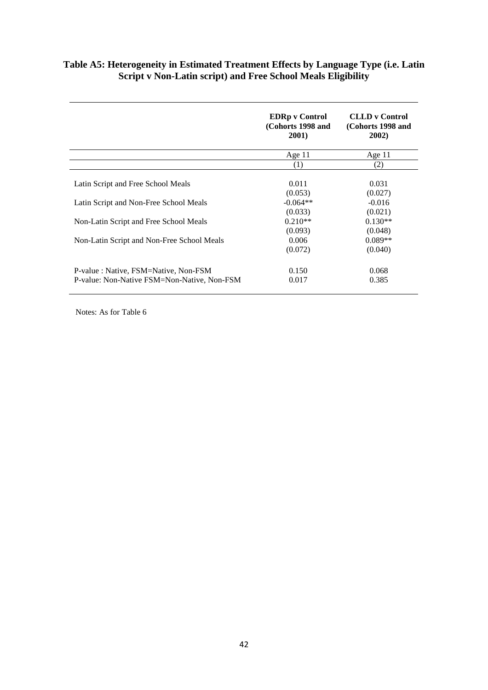#### **Table A5: Heterogeneity in Estimated Treatment Effects by Language Type (i.e. Latin Script v Non-Latin script) and Free School Meals Eligibility**

|                                                                                     | <b>EDRp</b> v Control<br>(Cohorts 1998 and<br><b>2001</b> ) | <b>CLLD</b> v Control<br>(Cohorts 1998 and<br>2002) |
|-------------------------------------------------------------------------------------|-------------------------------------------------------------|-----------------------------------------------------|
|                                                                                     | Age $11$                                                    | Age $11$                                            |
|                                                                                     | (1)                                                         | (2)                                                 |
| Latin Script and Free School Meals                                                  | 0.011<br>(0.053)                                            | 0.031<br>(0.027)                                    |
| Latin Script and Non-Free School Meals                                              | $-0.064**$<br>(0.033)                                       | $-0.016$<br>(0.021)                                 |
| Non-Latin Script and Free School Meals                                              | $0.210**$<br>(0.093)                                        | $0.130**$<br>(0.048)                                |
| Non-Latin Script and Non-Free School Meals                                          | 0.006<br>(0.072)                                            | $0.089**$<br>(0.040)                                |
| P-value: Native, FSM=Native, Non-FSM<br>P-value: Non-Native FSM=Non-Native, Non-FSM | 0.150<br>0.017                                              | 0.068<br>0.385                                      |

Notes: As for Table 6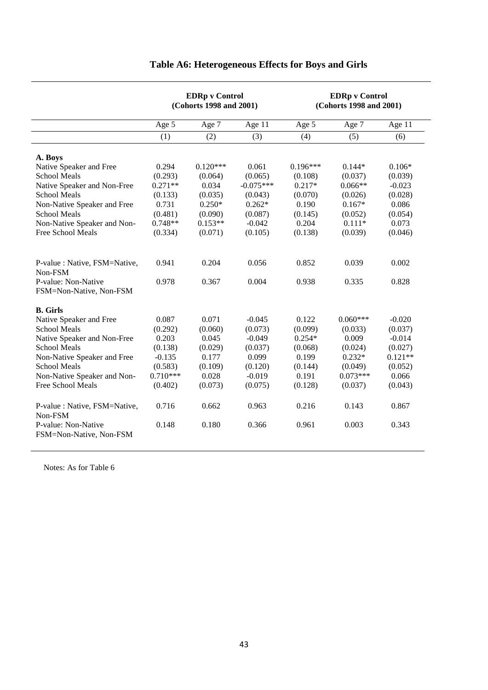|                                                | <b>EDRp</b> v Control<br>(Cohorts 1998 and 2001) |            |             | <b>EDRp</b> v Control<br>(Cohorts 1998 and 2001) |            |           |  |
|------------------------------------------------|--------------------------------------------------|------------|-------------|--------------------------------------------------|------------|-----------|--|
|                                                | Age 5                                            | Age 7      | Age 11      | Age 5                                            | Age 7      | Age 11    |  |
|                                                | (1)                                              | (2)        | (3)         | (4)                                              | (5)        | (6)       |  |
| A. Boys                                        |                                                  |            |             |                                                  |            |           |  |
| Native Speaker and Free                        | 0.294                                            | $0.120***$ | 0.061       | $0.196***$                                       | $0.144*$   | $0.106*$  |  |
| School Meals                                   | (0.293)                                          | (0.064)    | (0.065)     | (0.108)                                          | (0.037)    | (0.039)   |  |
| Native Speaker and Non-Free                    | $0.271**$                                        | 0.034      | $-0.075***$ | $0.217*$                                         | $0.066**$  | $-0.023$  |  |
| <b>School Meals</b>                            | (0.133)                                          | (0.035)    | (0.043)     | (0.070)                                          | (0.026)    | (0.028)   |  |
| Non-Native Speaker and Free                    | 0.731                                            | $0.250*$   | $0.262*$    | 0.190                                            | $0.167*$   | 0.086     |  |
| <b>School Meals</b>                            | (0.481)                                          | (0.090)    | (0.087)     | (0.145)                                          | (0.052)    | (0.054)   |  |
| Non-Native Speaker and Non-                    | $0.748**$                                        | $0.153**$  | $-0.042$    | 0.204                                            | $0.111*$   | 0.073     |  |
| Free School Meals                              | (0.334)                                          | (0.071)    | (0.105)     | (0.138)                                          | (0.039)    | (0.046)   |  |
| P-value: Native, FSM=Native,<br>Non-FSM        | 0.941                                            | 0.204      | 0.056       | 0.852                                            | 0.039      | 0.002     |  |
| P-value: Non-Native<br>FSM=Non-Native, Non-FSM | 0.978                                            | 0.367      | 0.004       | 0.938                                            | 0.335      | 0.828     |  |
| <b>B.</b> Girls                                |                                                  |            |             |                                                  |            |           |  |
| Native Speaker and Free                        | 0.087                                            | 0.071      | $-0.045$    | 0.122                                            | $0.060***$ | $-0.020$  |  |
| <b>School Meals</b>                            | (0.292)                                          | (0.060)    | (0.073)     | (0.099)                                          | (0.033)    | (0.037)   |  |
| Native Speaker and Non-Free                    | 0.203                                            | 0.045      | $-0.049$    | $0.254*$                                         | 0.009      | $-0.014$  |  |
| <b>School Meals</b>                            | (0.138)                                          | (0.029)    | (0.037)     | (0.068)                                          | (0.024)    | (0.027)   |  |
| Non-Native Speaker and Free                    | $-0.135$                                         | 0.177      | 0.099       | 0.199                                            | $0.232*$   | $0.121**$ |  |
| <b>School Meals</b>                            | (0.583)                                          | (0.109)    | (0.120)     | (0.144)                                          | (0.049)    | (0.052)   |  |
| Non-Native Speaker and Non-                    | $0.710***$                                       | 0.028      | $-0.019$    | 0.191                                            | $0.073***$ | 0.066     |  |
| Free School Meals                              | (0.402)                                          | (0.073)    | (0.075)     | (0.128)                                          | (0.037)    | (0.043)   |  |
| P-value : Native, FSM=Native,<br>Non-FSM       | 0.716                                            | 0.662      | 0.963       | 0.216                                            | 0.143      | 0.867     |  |
| P-value: Non-Native<br>FSM=Non-Native, Non-FSM | 0.148                                            | 0.180      | 0.366       | 0.961                                            | 0.003      | 0.343     |  |

## **Table A6: Heterogeneous Effects for Boys and Girls**

Notes: As for Table 6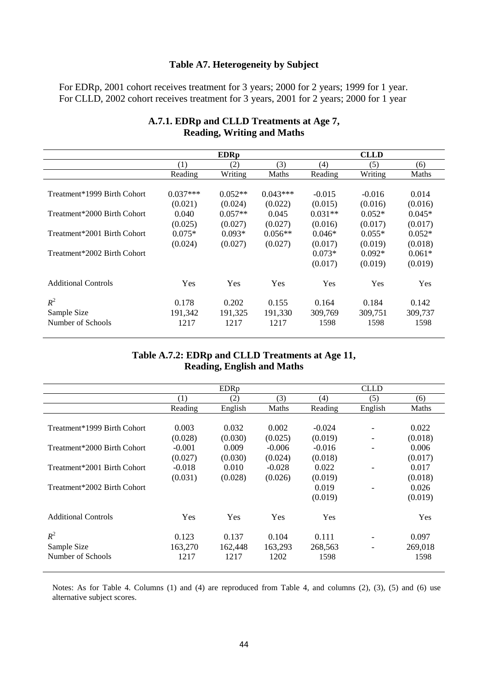### **Table A7. Heterogeneity by Subject**

For EDRp, 2001 cohort receives treatment for 3 years; 2000 for 2 years; 1999 for 1 year. For CLLD, 2002 cohort receives treatment for 3 years, 2001 for 2 years; 2000 for 1 year

| <b>EDRp</b> |                                                                                                                                 |                                                                                                            | <b>CLLD</b>                                       |                          |
|-------------|---------------------------------------------------------------------------------------------------------------------------------|------------------------------------------------------------------------------------------------------------|---------------------------------------------------|--------------------------|
|             |                                                                                                                                 |                                                                                                            |                                                   |                          |
| (2)         | (3)                                                                                                                             | (4)                                                                                                        | (5)                                               | (6)                      |
|             | Maths                                                                                                                           | Reading                                                                                                    | Writing                                           | Maths                    |
|             |                                                                                                                                 |                                                                                                            |                                                   |                          |
|             |                                                                                                                                 | $-0.015$                                                                                                   | $-0.016$                                          | 0.014                    |
|             | (0.022)                                                                                                                         | (0.015)                                                                                                    | (0.016)                                           | (0.016)                  |
|             | 0.045                                                                                                                           | $0.031**$                                                                                                  | $0.052*$                                          | $0.045*$                 |
|             | (0.027)                                                                                                                         | (0.016)                                                                                                    | (0.017)                                           | (0.017)                  |
|             | $0.056**$                                                                                                                       | $0.046*$                                                                                                   | $0.055*$                                          | $0.052*$                 |
|             | (0.027)                                                                                                                         | (0.017)                                                                                                    | (0.019)                                           | (0.018)                  |
|             |                                                                                                                                 | $0.073*$                                                                                                   | $0.092*$                                          | $0.061*$                 |
|             |                                                                                                                                 | (0.017)                                                                                                    | (0.019)                                           | (0.019)                  |
|             |                                                                                                                                 |                                                                                                            |                                                   |                          |
| Yes         | Yes                                                                                                                             | Yes                                                                                                        | Yes                                               | Yes                      |
|             |                                                                                                                                 |                                                                                                            |                                                   |                          |
|             |                                                                                                                                 |                                                                                                            |                                                   | 0.142                    |
|             |                                                                                                                                 |                                                                                                            |                                                   | 309,737                  |
|             |                                                                                                                                 |                                                                                                            |                                                   | 1598                     |
|             | Reading<br>$0.037***$<br>(0.021)<br>0.040<br>(0.025)<br>$0.075*$<br>(0.024)<br>Yes<br>0.178<br>0.202<br>191,342<br>1217<br>1217 | Writing<br>$0.052**$<br>(0.024)<br>$0.057**$<br>(0.027)<br>$0.093*$<br>(0.027)<br>0.155<br>191,325<br>1217 | $0.043***$<br>0.164<br>191,330<br>309,769<br>1598 | 0.184<br>309,751<br>1598 |

#### **A.7.1. EDRp and CLLD Treatments at Age 7, Reading, Writing and Maths**

#### **Table A.7.2: EDRp and CLLD Treatments at Age 11, Reading, English and Maths**

|                             |          | <b>EDRp</b> |            |            | <b>CLLD</b>              |            |
|-----------------------------|----------|-------------|------------|------------|--------------------------|------------|
|                             |          |             |            |            |                          |            |
|                             | (1)      | (2)         | (3)        | (4)        | (5)                      | (6)        |
|                             | Reading  | English     | Maths      | Reading    | English                  | Maths      |
|                             |          |             |            |            |                          |            |
| Treatment*1999 Birth Cohort | 0.003    | 0.032       | 0.002      | $-0.024$   | $\overline{\phantom{a}}$ | 0.022      |
|                             | (0.028)  | (0.030)     | (0.025)    | (0.019)    |                          | (0.018)    |
| Treatment*2000 Birth Cohort | $-0.001$ | 0.009       | $-0.006$   | $-0.016$   |                          | 0.006      |
|                             | (0.027)  | (0.030)     | (0.024)    | (0.018)    |                          | (0.017)    |
| Treatment*2001 Birth Cohort | $-0.018$ | 0.010       | $-0.028$   | 0.022      |                          | 0.017      |
|                             | (0.031)  | (0.028)     | (0.026)    | (0.019)    |                          | (0.018)    |
| Treatment*2002 Birth Cohort |          |             |            | 0.019      |                          | 0.026      |
|                             |          |             |            | (0.019)    |                          | (0.019)    |
| <b>Additional Controls</b>  | Yes      | <b>Yes</b>  | <b>Yes</b> | <b>Yes</b> |                          | <b>Yes</b> |
|                             |          |             |            |            |                          |            |
| $R^2$                       | 0.123    | 0.137       | 0.104      | 0.111      | $\overline{\phantom{a}}$ | 0.097      |
| Sample Size                 | 163,270  | 162,448     | 163,293    | 268,563    |                          | 269,018    |
| Number of Schools           | 1217     | 1217        | 1202       | 1598       |                          | 1598       |

Notes: As for Table 4. Columns (1) and (4) are reproduced from Table 4, and columns (2), (3), (5) and (6) use alternative subject scores.